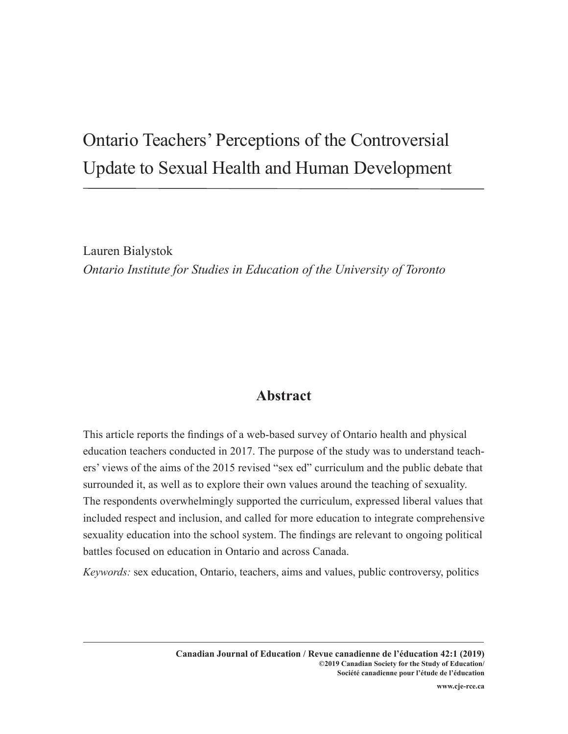# Ontario Teachers' Perceptions of the Controversial Update to Sexual Health and Human Development

Lauren Bialystok *Ontario Institute for Studies in Education of the University of Toronto*

## **Abstract**

This article reports the findings of a web-based survey of Ontario health and physical education teachers conducted in 2017. The purpose of the study was to understand teachers' views of the aims of the 2015 revised "sex ed" curriculum and the public debate that surrounded it, as well as to explore their own values around the teaching of sexuality. The respondents overwhelmingly supported the curriculum, expressed liberal values that included respect and inclusion, and called for more education to integrate comprehensive sexuality education into the school system. The findings are relevant to ongoing political battles focused on education in Ontario and across Canada.

*Keywords:* sex education, Ontario, teachers, aims and values, public controversy, politics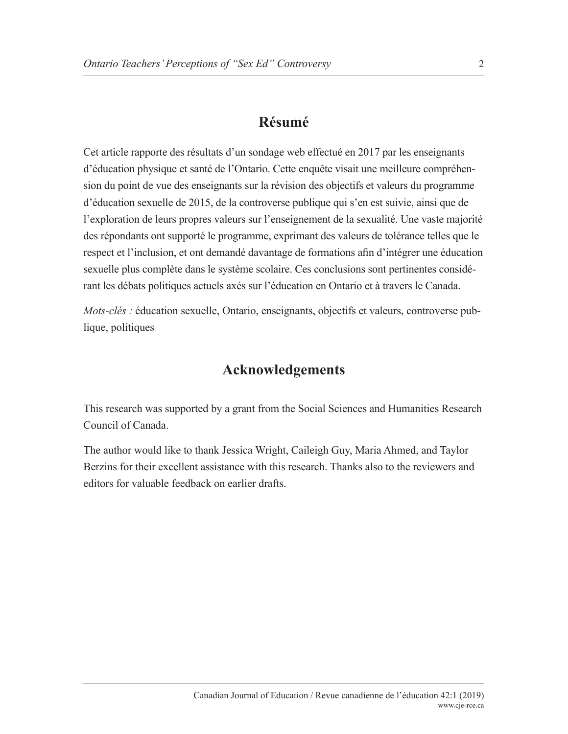## **Résumé**

Cet article rapporte des résultats d'un sondage web effectué en 2017 par les enseignants d'éducation physique et santé de l'Ontario. Cette enquête visait une meilleure compréhension du point de vue des enseignants sur la révision des objectifs et valeurs du programme d'éducation sexuelle de 2015, de la controverse publique qui s'en est suivie, ainsi que de l'exploration de leurs propres valeurs sur l'enseignement de la sexualité. Une vaste majorité des répondants ont supporté le programme, exprimant des valeurs de tolérance telles que le respect et l'inclusion, et ont demandé davantage de formations afin d'intégrer une éducation sexuelle plus complète dans le système scolaire. Ces conclusions sont pertinentes considérant les débats politiques actuels axés sur l'éducation en Ontario et à travers le Canada.

*Mots-clés : éducation sexuelle, Ontario, enseignants, objectifs et valeurs, controverse pub*lique, politiques

## **Acknowledgements**

This research was supported by a grant from the Social Sciences and Humanities Research Council of Canada.

The author would like to thank Jessica Wright, Caileigh Guy, Maria Ahmed, and Taylor Berzins for their excellent assistance with this research. Thanks also to the reviewers and editors for valuable feedback on earlier drafts.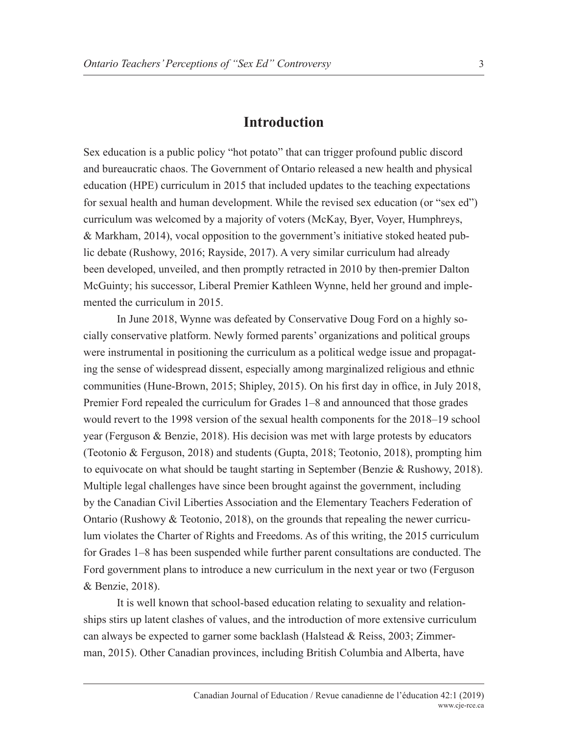#### **Introduction**

Sex education is a public policy "hot potato" that can trigger profound public discord and bureaucratic chaos. The Government of Ontario released a new health and physical education (HPE) curriculum in 2015 that included updates to the teaching expectations for sexual health and human development. While the revised sex education (or "sex ed") curriculum was welcomed by a majority of voters (McKay, Byer, Voyer, Humphreys, & Markham, 2014), vocal opposition to the government's initiative stoked heated public debate (Rushowy, 2016; Rayside, 2017). A very similar curriculum had already been developed, unveiled, and then promptly retracted in 2010 by then-premier Dalton McGuinty; his successor, Liberal Premier Kathleen Wynne, held her ground and implemented the curriculum in 2015.

In June 2018, Wynne was defeated by Conservative Doug Ford on a highly socially conservative platform. Newly formed parents' organizations and political groups were instrumental in positioning the curriculum as a political wedge issue and propagating the sense of widespread dissent, especially among marginalized religious and ethnic communities (Hune-Brown, 2015; Shipley, 2015). On his first day in office, in July 2018, Premier Ford repealed the curriculum for Grades 1–8 and announced that those grades would revert to the 1998 version of the sexual health components for the 2018–19 school year (Ferguson & Benzie, 2018). His decision was met with large protests by educators (Teotonio & Ferguson, 2018) and students (Gupta, 2018; Teotonio, 2018), prompting him to equivocate on what should be taught starting in September (Benzie & Rushowy, 2018). Multiple legal challenges have since been brought against the government, including by the Canadian Civil Liberties Association and the Elementary Teachers Federation of Ontario (Rushowy & Teotonio, 2018), on the grounds that repealing the newer curriculum violates the Charter of Rights and Freedoms. As of this writing, the 2015 curriculum for Grades 1–8 has been suspended while further parent consultations are conducted. The Ford government plans to introduce a new curriculum in the next year or two (Ferguson & Benzie, 2018).

It is well known that school-based education relating to sexuality and relationships stirs up latent clashes of values, and the introduction of more extensive curriculum can always be expected to garner some backlash (Halstead & Reiss, 2003; Zimmerman, 2015). Other Canadian provinces, including British Columbia and Alberta, have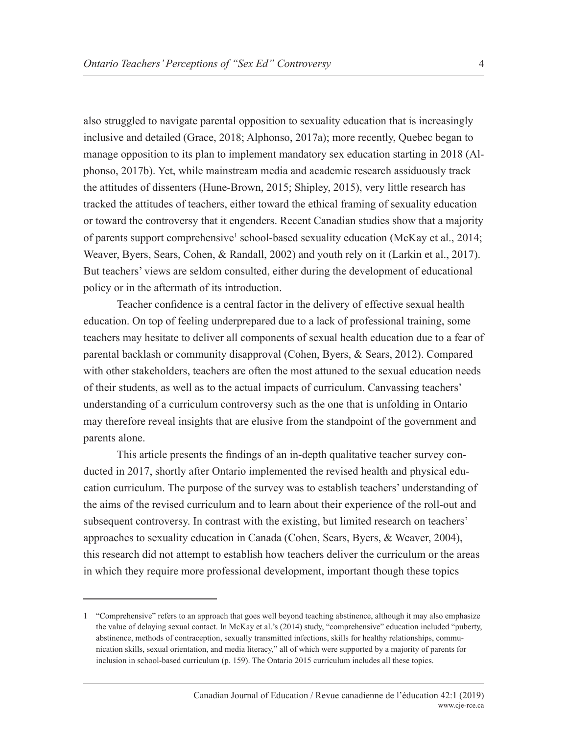also struggled to navigate parental opposition to sexuality education that is increasingly inclusive and detailed (Grace, 2018; Alphonso, 2017a); more recently, Quebec began to manage opposition to its plan to implement mandatory sex education starting in 2018 (Alphonso, 2017b). Yet, while mainstream media and academic research assiduously track the attitudes of dissenters (Hune-Brown, 2015; Shipley, 2015), very little research has tracked the attitudes of teachers, either toward the ethical framing of sexuality education or toward the controversy that it engenders. Recent Canadian studies show that a majority of parents support comprehensive<sup>1</sup> school-based sexuality education (McKay et al., 2014; Weaver, Byers, Sears, Cohen, & Randall, 2002) and youth rely on it (Larkin et al., 2017). But teachers' views are seldom consulted, either during the development of educational policy or in the aftermath of its introduction.

Teacher confidence is a central factor in the delivery of effective sexual health education. On top of feeling underprepared due to a lack of professional training, some teachers may hesitate to deliver all components of sexual health education due to a fear of parental backlash or community disapproval (Cohen, Byers, & Sears, 2012). Compared with other stakeholders, teachers are often the most attuned to the sexual education needs of their students, as well as to the actual impacts of curriculum. Canvassing teachers' understanding of a curriculum controversy such as the one that is unfolding in Ontario may therefore reveal insights that are elusive from the standpoint of the government and parents alone.

This article presents the findings of an in-depth qualitative teacher survey conducted in 2017, shortly after Ontario implemented the revised health and physical education curriculum. The purpose of the survey was to establish teachers' understanding of the aims of the revised curriculum and to learn about their experience of the roll-out and subsequent controversy. In contrast with the existing, but limited research on teachers' approaches to sexuality education in Canada (Cohen, Sears, Byers, & Weaver, 2004), this research did not attempt to establish how teachers deliver the curriculum or the areas in which they require more professional development, important though these topics

<sup>1</sup> "Comprehensive" refers to an approach that goes well beyond teaching abstinence, although it may also emphasize the value of delaying sexual contact. In McKay et al.'s (2014) study, "comprehensive" education included "puberty, abstinence, methods of contraception, sexually transmitted infections, skills for healthy relationships, communication skills, sexual orientation, and media literacy," all of which were supported by a majority of parents for inclusion in school-based curriculum (p. 159). The Ontario 2015 curriculum includes all these topics.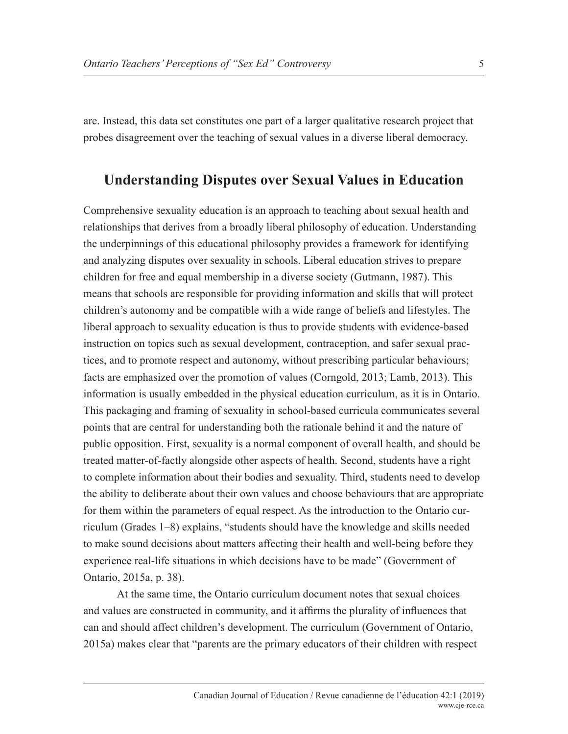are. Instead, this data set constitutes one part of a larger qualitative research project that probes disagreement over the teaching of sexual values in a diverse liberal democracy.

## **Understanding Disputes over Sexual Values in Education**

Comprehensive sexuality education is an approach to teaching about sexual health and relationships that derives from a broadly liberal philosophy of education. Understanding the underpinnings of this educational philosophy provides a framework for identifying and analyzing disputes over sexuality in schools. Liberal education strives to prepare children for free and equal membership in a diverse society (Gutmann, 1987). This means that schools are responsible for providing information and skills that will protect children's autonomy and be compatible with a wide range of beliefs and lifestyles. The liberal approach to sexuality education is thus to provide students with evidence-based instruction on topics such as sexual development, contraception, and safer sexual practices, and to promote respect and autonomy, without prescribing particular behaviours; facts are emphasized over the promotion of values (Corngold, 2013; Lamb, 2013). This information is usually embedded in the physical education curriculum, as it is in Ontario. This packaging and framing of sexuality in school-based curricula communicates several points that are central for understanding both the rationale behind it and the nature of public opposition. First, sexuality is a normal component of overall health, and should be treated matter-of-factly alongside other aspects of health. Second, students have a right to complete information about their bodies and sexuality. Third, students need to develop the ability to deliberate about their own values and choose behaviours that are appropriate for them within the parameters of equal respect. As the introduction to the Ontario curriculum (Grades 1–8) explains, "students should have the knowledge and skills needed to make sound decisions about matters affecting their health and well-being before they experience real-life situations in which decisions have to be made" (Government of Ontario, 2015a, p. 38).

At the same time, the Ontario curriculum document notes that sexual choices and values are constructed in community, and it affirms the plurality of influences that can and should affect children's development. The curriculum (Government of Ontario, 2015a) makes clear that "parents are the primary educators of their children with respect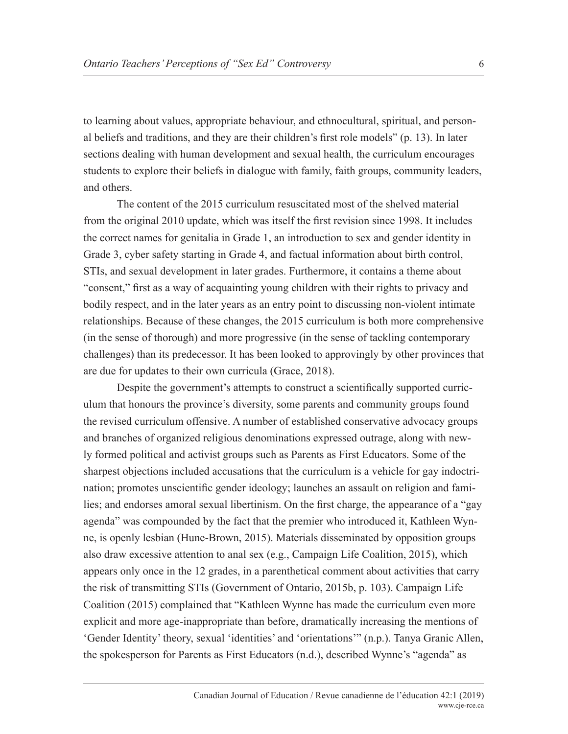to learning about values, appropriate behaviour, and ethnocultural, spiritual, and personal beliefs and traditions, and they are their children's first role models" (p. 13). In later sections dealing with human development and sexual health, the curriculum encourages students to explore their beliefs in dialogue with family, faith groups, community leaders, and others.

The content of the 2015 curriculum resuscitated most of the shelved material from the original 2010 update, which was itself the first revision since 1998. It includes the correct names for genitalia in Grade 1, an introduction to sex and gender identity in Grade 3, cyber safety starting in Grade 4, and factual information about birth control, STIs, and sexual development in later grades. Furthermore, it contains a theme about "consent," first as a way of acquainting young children with their rights to privacy and bodily respect, and in the later years as an entry point to discussing non-violent intimate relationships. Because of these changes, the 2015 curriculum is both more comprehensive (in the sense of thorough) and more progressive (in the sense of tackling contemporary challenges) than its predecessor. It has been looked to approvingly by other provinces that are due for updates to their own curricula (Grace, 2018).

Despite the government's attempts to construct a scientifically supported curriculum that honours the province's diversity, some parents and community groups found the revised curriculum offensive. A number of established conservative advocacy groups and branches of organized religious denominations expressed outrage, along with newly formed political and activist groups such as Parents as First Educators. Some of the sharpest objections included accusations that the curriculum is a vehicle for gay indoctrination; promotes unscientific gender ideology; launches an assault on religion and families; and endorses amoral sexual libertinism. On the first charge, the appearance of a "gay agenda" was compounded by the fact that the premier who introduced it, Kathleen Wynne, is openly lesbian (Hune-Brown, 2015). Materials disseminated by opposition groups also draw excessive attention to anal sex (e.g., Campaign Life Coalition, 2015), which appears only once in the 12 grades, in a parenthetical comment about activities that carry the risk of transmitting STIs (Government of Ontario, 2015b, p. 103). Campaign Life Coalition (2015) complained that "Kathleen Wynne has made the curriculum even more explicit and more age-inappropriate than before, dramatically increasing the mentions of 'Gender Identity' theory, sexual 'identities' and 'orientations'" (n.p.). Tanya Granic Allen, the spokesperson for Parents as First Educators (n.d.), described Wynne's "agenda" as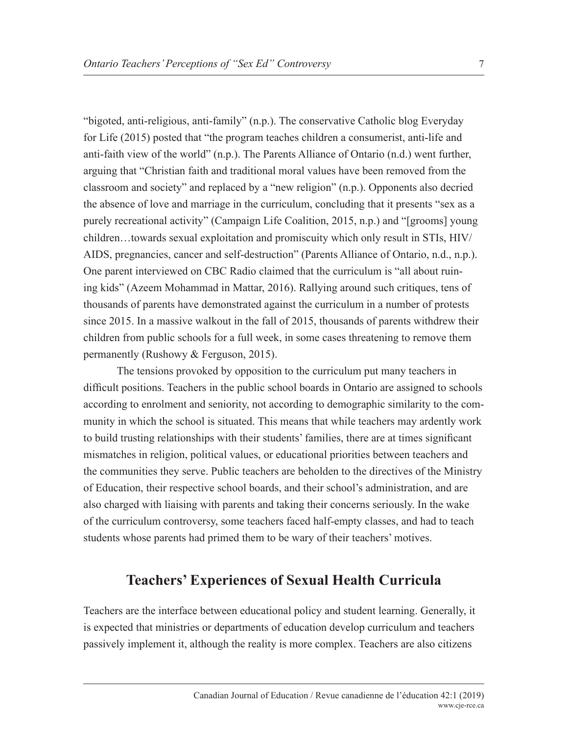"bigoted, anti-religious, anti-family" (n.p.). The conservative Catholic blog Everyday for Life (2015) posted that "the program teaches children a consumerist, anti-life and anti-faith view of the world" (n.p.). The Parents Alliance of Ontario (n.d.) went further, arguing that "Christian faith and traditional moral values have been removed from the classroom and society" and replaced by a "new religion" (n.p.). Opponents also decried the absence of love and marriage in the curriculum, concluding that it presents "sex as a purely recreational activity" (Campaign Life Coalition, 2015, n.p.) and "[grooms] young children…towards sexual exploitation and promiscuity which only result in STIs, HIV/ AIDS, pregnancies, cancer and self-destruction" (Parents Alliance of Ontario, n.d., n.p.). One parent interviewed on CBC Radio claimed that the curriculum is "all about ruining kids" (Azeem Mohammad in Mattar, 2016). Rallying around such critiques, tens of thousands of parents have demonstrated against the curriculum in a number of protests since 2015. In a massive walkout in the fall of 2015, thousands of parents withdrew their children from public schools for a full week, in some cases threatening to remove them permanently (Rushowy & Ferguson, 2015).

The tensions provoked by opposition to the curriculum put many teachers in difficult positions. Teachers in the public school boards in Ontario are assigned to schools according to enrolment and seniority, not according to demographic similarity to the community in which the school is situated. This means that while teachers may ardently work to build trusting relationships with their students' families, there are at times significant mismatches in religion, political values, or educational priorities between teachers and the communities they serve. Public teachers are beholden to the directives of the Ministry of Education, their respective school boards, and their school's administration, and are also charged with liaising with parents and taking their concerns seriously. In the wake of the curriculum controversy, some teachers faced half-empty classes, and had to teach students whose parents had primed them to be wary of their teachers' motives.

## **Teachers' Experiences of Sexual Health Curricula**

Teachers are the interface between educational policy and student learning. Generally, it is expected that ministries or departments of education develop curriculum and teachers passively implement it, although the reality is more complex. Teachers are also citizens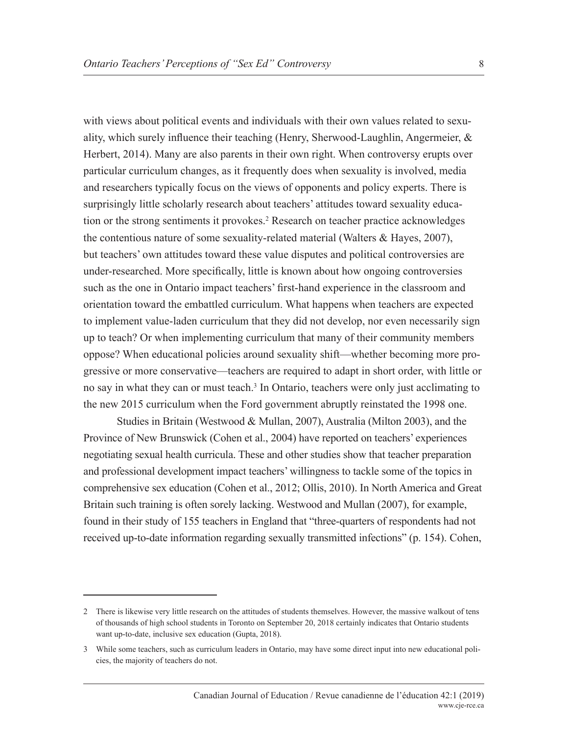with views about political events and individuals with their own values related to sexuality, which surely influence their teaching (Henry, Sherwood-Laughlin, Angermeier, & Herbert, 2014). Many are also parents in their own right. When controversy erupts over particular curriculum changes, as it frequently does when sexuality is involved, media and researchers typically focus on the views of opponents and policy experts. There is surprisingly little scholarly research about teachers' attitudes toward sexuality education or the strong sentiments it provokes.<sup>2</sup> Research on teacher practice acknowledges the contentious nature of some sexuality-related material (Walters & Hayes, 2007), but teachers' own attitudes toward these value disputes and political controversies are under-researched. More specifically, little is known about how ongoing controversies such as the one in Ontario impact teachers' first-hand experience in the classroom and orientation toward the embattled curriculum. What happens when teachers are expected to implement value-laden curriculum that they did not develop, nor even necessarily sign up to teach? Or when implementing curriculum that many of their community members oppose? When educational policies around sexuality shift—whether becoming more progressive or more conservative—teachers are required to adapt in short order, with little or no say in what they can or must teach.<sup>3</sup> In Ontario, teachers were only just acclimating to the new 2015 curriculum when the Ford government abruptly reinstated the 1998 one.

Studies in Britain (Westwood & Mullan, 2007), Australia (Milton 2003), and the Province of New Brunswick (Cohen et al., 2004) have reported on teachers' experiences negotiating sexual health curricula. These and other studies show that teacher preparation and professional development impact teachers' willingness to tackle some of the topics in comprehensive sex education (Cohen et al., 2012; Ollis, 2010). In North America and Great Britain such training is often sorely lacking. Westwood and Mullan (2007), for example, found in their study of 155 teachers in England that "three-quarters of respondents had not received up-to-date information regarding sexually transmitted infections" (p. 154). Cohen,

<sup>2</sup> There is likewise very little research on the attitudes of students themselves. However, the massive walkout of tens of thousands of high school students in Toronto on September 20, 2018 certainly indicates that Ontario students want up-to-date, inclusive sex education (Gupta, 2018).

<sup>3</sup> While some teachers, such as curriculum leaders in Ontario, may have some direct input into new educational policies, the majority of teachers do not.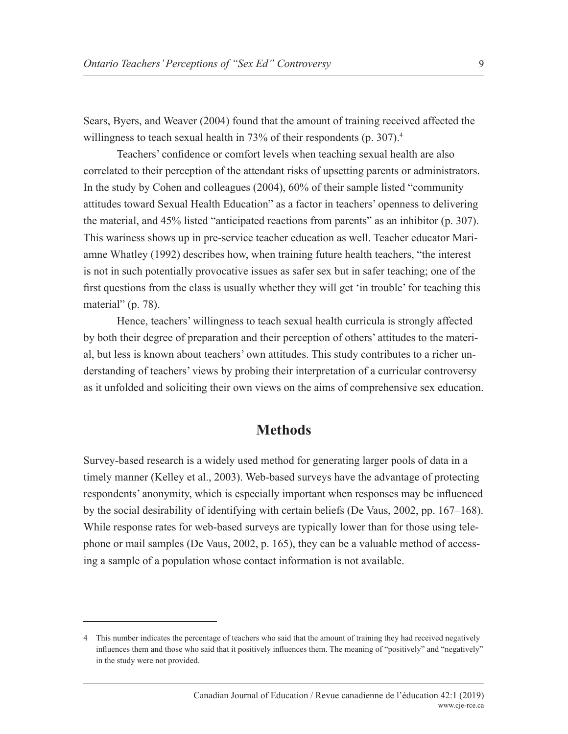Sears, Byers, and Weaver (2004) found that the amount of training received affected the willingness to teach sexual health in 73% of their respondents (p. 307).<sup>4</sup>

Teachers' confidence or comfort levels when teaching sexual health are also correlated to their perception of the attendant risks of upsetting parents or administrators. In the study by Cohen and colleagues (2004), 60% of their sample listed "community attitudes toward Sexual Health Education" as a factor in teachers' openness to delivering the material, and 45% listed "anticipated reactions from parents" as an inhibitor (p. 307). This wariness shows up in pre-service teacher education as well. Teacher educator Mariamne Whatley (1992) describes how, when training future health teachers, "the interest is not in such potentially provocative issues as safer sex but in safer teaching; one of the first questions from the class is usually whether they will get 'in trouble' for teaching this material" (p. 78).

Hence, teachers' willingness to teach sexual health curricula is strongly affected by both their degree of preparation and their perception of others' attitudes to the material, but less is known about teachers' own attitudes. This study contributes to a richer understanding of teachers' views by probing their interpretation of a curricular controversy as it unfolded and soliciting their own views on the aims of comprehensive sex education.

#### **Methods**

Survey-based research is a widely used method for generating larger pools of data in a timely manner (Kelley et al., 2003). Web-based surveys have the advantage of protecting respondents' anonymity, which is especially important when responses may be influenced by the social desirability of identifying with certain beliefs (De Vaus, 2002, pp. 167–168). While response rates for web-based surveys are typically lower than for those using telephone or mail samples (De Vaus, 2002, p. 165), they can be a valuable method of accessing a sample of a population whose contact information is not available.

<sup>4</sup> This number indicates the percentage of teachers who said that the amount of training they had received negatively influences them and those who said that it positively influences them. The meaning of "positively" and "negatively" in the study were not provided.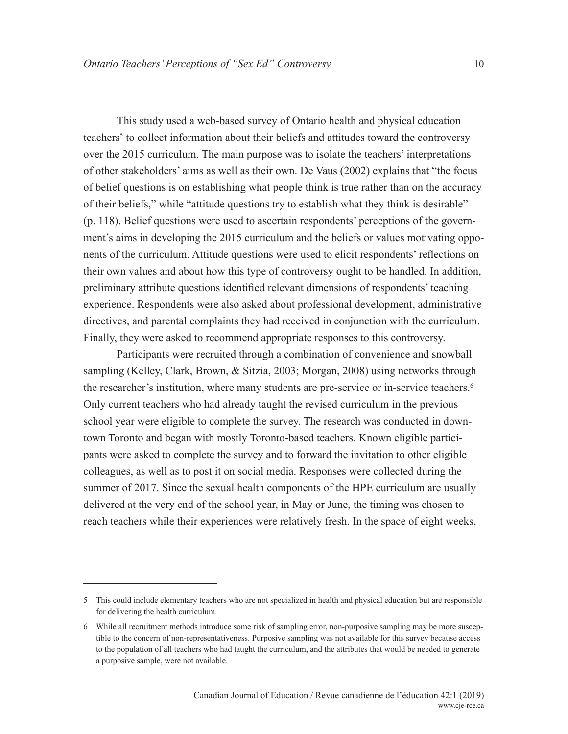This study used a web-based survey of Ontario health and physical education teachers<sup>5</sup> to collect information about their beliefs and attitudes toward the controversy over the 2015 curriculum. The main purpose was to isolate the teachers' interpretations of other stakeholders' aims as well as their own. De Vaus (2002) explains that "the focus of belief questions is on establishing what people think is true rather than on the accuracy of their beliefs," while "attitude questions try to establish what they think is desirable" (p. 118). Belief questions were used to ascertain respondents' perceptions of the government's aims in developing the 2015 curriculum and the beliefs or values motivating opponents of the curriculum. Attitude questions were used to elicit respondents' reflections on their own values and about how this type of controversy ought to be handled. In addition, preliminary attribute questions identified relevant dimensions of respondents' teaching experience. Respondents were also asked about professional development, administrative directives, and parental complaints they had received in conjunction with the curriculum. Finally, they were asked to recommend appropriate responses to this controversy.

Participants were recruited through a combination of convenience and snowball sampling (Kelley, Clark, Brown, & Sitzia, 2003; Morgan, 2008) using networks through the researcher's institution, where many students are pre-service or in-service teachers.<sup>6</sup> Only current teachers who had already taught the revised curriculum in the previous school year were eligible to complete the survey. The research was conducted in downtown Toronto and began with mostly Toronto-based teachers. Known eligible participants were asked to complete the survey and to forward the invitation to other eligible colleagues, as well as to post it on social media. Responses were collected during the summer of 2017. Since the sexual health components of the HPE curriculum are usually delivered at the very end of the school year, in May or June, the timing was chosen to reach teachers while their experiences were relatively fresh. In the space of eight weeks,

<sup>5</sup> This could include elementary teachers who are not specialized in health and physical education but are responsible for delivering the health curriculum.

<sup>6</sup> While all recruitment methods introduce some risk of sampling error, non-purposive sampling may be more susceptible to the concern of non-representativeness. Purposive sampling was not available for this survey because access to the population of all teachers who had taught the curriculum, and the attributes that would be needed to generate a purposive sample, were not available.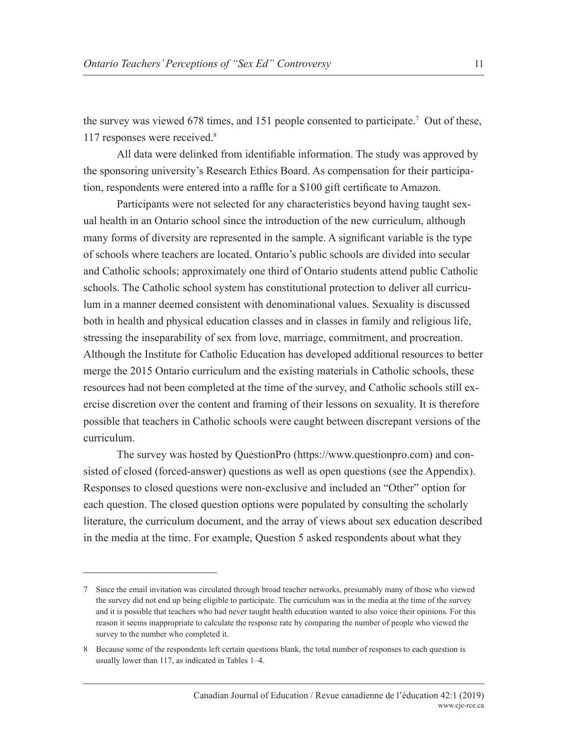the survey was viewed 678 times, and 151 people consented to participate.<sup>7</sup> Out of these, 117 responses were received.8

All data were delinked from identifiable information. The study was approved by the sponsoring university's Research Ethics Board. As compensation for their participation, respondents were entered into a raffle for a \$100 gift certificate to Amazon.

Participants were not selected for any characteristics beyond having taught sexual health in an Ontario school since the introduction of the new curriculum, although many forms of diversity are represented in the sample. A significant variable is the type of schools where teachers are located. Ontario's public schools are divided into secular and Catholic schools; approximately one third of Ontario students attend public Catholic schools. The Catholic school system has constitutional protection to deliver all curriculum in a manner deemed consistent with denominational values. Sexuality is discussed both in health and physical education classes and in classes in family and religious life, stressing the inseparability of sex from love, marriage, commitment, and procreation. Although the Institute for Catholic Education has developed additional resources to better merge the 2015 Ontario curriculum and the existing materials in Catholic schools, these resources had not been completed at the time of the survey, and Catholic schools still exercise discretion over the content and framing of their lessons on sexuality. It is therefore possible that teachers in Catholic schools were caught between discrepant versions of the curriculum.

The survey was hosted by QuestionPro (https://www.questionpro.com) and consisted of closed (forced-answer) questions as well as open questions (see the Appendix). Responses to closed questions were non-exclusive and included an "Other" option for each question. The closed question options were populated by consulting the scholarly literature, the curriculum document, and the array of views about sex education described in the media at the time. For example, Question 5 asked respondents about what they

<sup>7</sup> Since the email invitation was circulated through broad teacher networks, presumably many of those who viewed the survey did not end up being eligible to participate. The curriculum was in the media at the time of the survey and it is possible that teachers who had never taught health education wanted to also voice their opinions. For this reason it seems inappropriate to calculate the response rate by comparing the number of people who viewed the survey to the number who completed it.

<sup>8</sup> Because some of the respondents left certain questions blank, the total number of responses to each question is usually lower than 117, as indicated in Tables 1–4.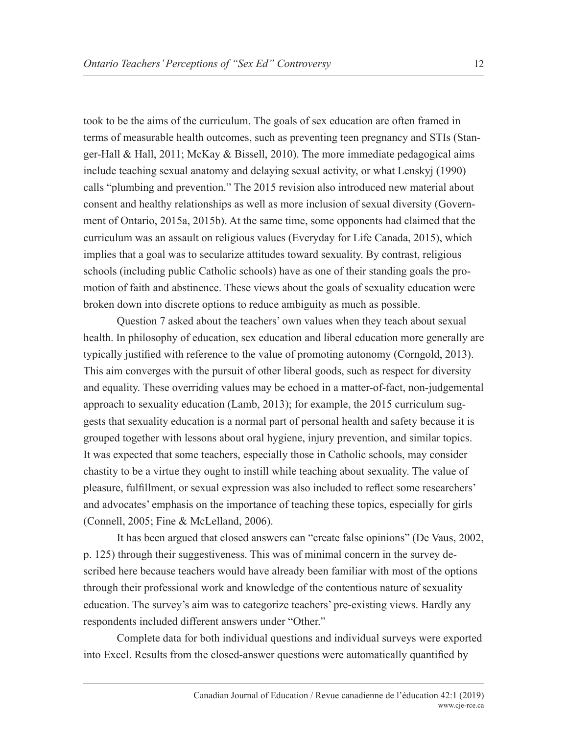took to be the aims of the curriculum. The goals of sex education are often framed in terms of measurable health outcomes, such as preventing teen pregnancy and STIs (Stanger-Hall & Hall, 2011; McKay & Bissell, 2010). The more immediate pedagogical aims include teaching sexual anatomy and delaying sexual activity, or what Lenskyj (1990) calls "plumbing and prevention." The 2015 revision also introduced new material about consent and healthy relationships as well as more inclusion of sexual diversity (Government of Ontario, 2015a, 2015b). At the same time, some opponents had claimed that the curriculum was an assault on religious values (Everyday for Life Canada, 2015), which implies that a goal was to secularize attitudes toward sexuality. By contrast, religious schools (including public Catholic schools) have as one of their standing goals the promotion of faith and abstinence. These views about the goals of sexuality education were broken down into discrete options to reduce ambiguity as much as possible.

Question 7 asked about the teachers' own values when they teach about sexual health. In philosophy of education, sex education and liberal education more generally are typically justified with reference to the value of promoting autonomy (Corngold, 2013). This aim converges with the pursuit of other liberal goods, such as respect for diversity and equality. These overriding values may be echoed in a matter-of-fact, non-judgemental approach to sexuality education (Lamb, 2013); for example, the 2015 curriculum suggests that sexuality education is a normal part of personal health and safety because it is grouped together with lessons about oral hygiene, injury prevention, and similar topics. It was expected that some teachers, especially those in Catholic schools, may consider chastity to be a virtue they ought to instill while teaching about sexuality. The value of pleasure, fulfillment, or sexual expression was also included to reflect some researchers' and advocates' emphasis on the importance of teaching these topics, especially for girls (Connell, 2005; Fine & McLelland, 2006).

It has been argued that closed answers can "create false opinions" (De Vaus, 2002, p. 125) through their suggestiveness. This was of minimal concern in the survey described here because teachers would have already been familiar with most of the options through their professional work and knowledge of the contentious nature of sexuality education. The survey's aim was to categorize teachers' pre-existing views. Hardly any respondents included different answers under "Other."

Complete data for both individual questions and individual surveys were exported into Excel. Results from the closed-answer questions were automatically quantified by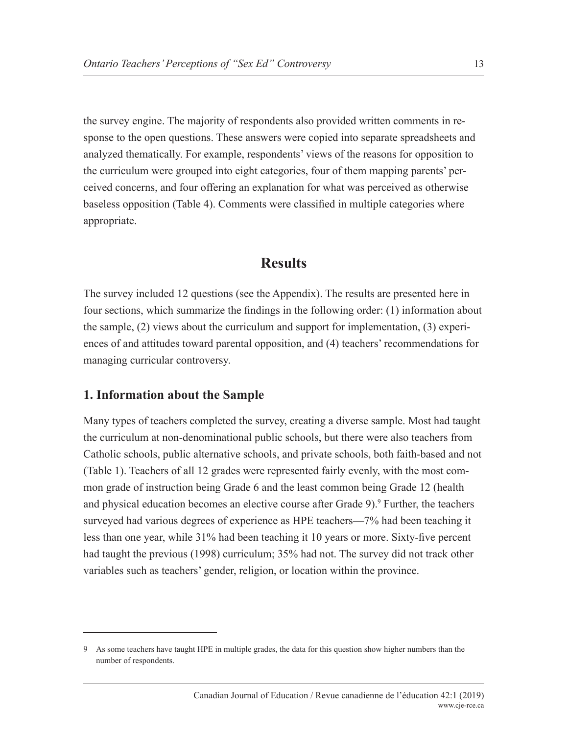the survey engine. The majority of respondents also provided written comments in response to the open questions. These answers were copied into separate spreadsheets and analyzed thematically. For example, respondents' views of the reasons for opposition to the curriculum were grouped into eight categories, four of them mapping parents' perceived concerns, and four offering an explanation for what was perceived as otherwise baseless opposition (Table 4). Comments were classified in multiple categories where appropriate.

## **Results**

The survey included 12 questions (see the Appendix). The results are presented here in four sections, which summarize the findings in the following order: (1) information about the sample, (2) views about the curriculum and support for implementation, (3) experiences of and attitudes toward parental opposition, and (4) teachers' recommendations for managing curricular controversy.

#### **1. Information about the Sample**

Many types of teachers completed the survey, creating a diverse sample. Most had taught the curriculum at non-denominational public schools, but there were also teachers from Catholic schools, public alternative schools, and private schools, both faith-based and not (Table 1). Teachers of all 12 grades were represented fairly evenly, with the most common grade of instruction being Grade 6 and the least common being Grade 12 (health and physical education becomes an elective course after Grade 9).<sup>9</sup> Further, the teachers surveyed had various degrees of experience as HPE teachers—7% had been teaching it less than one year, while 31% had been teaching it 10 years or more. Sixty-five percent had taught the previous (1998) curriculum; 35% had not. The survey did not track other variables such as teachers' gender, religion, or location within the province.

<sup>9</sup> As some teachers have taught HPE in multiple grades, the data for this question show higher numbers than the number of respondents.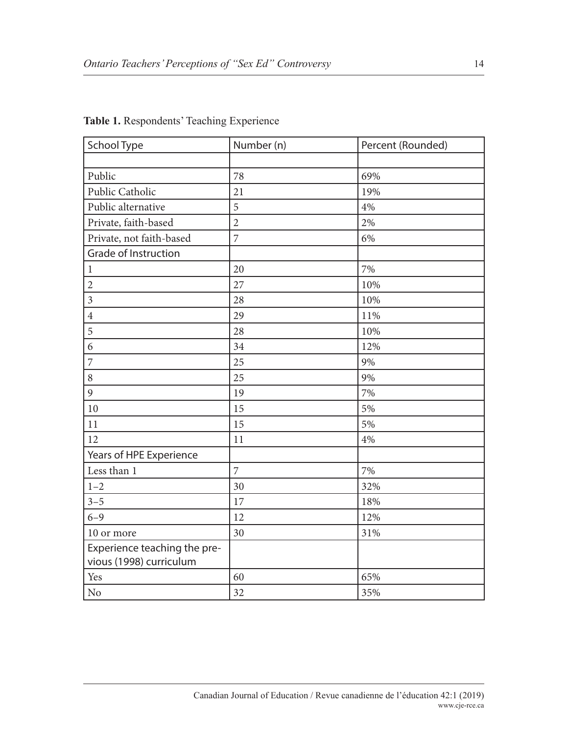| School Type                                             | Number (n)     | Percent (Rounded) |
|---------------------------------------------------------|----------------|-------------------|
|                                                         |                |                   |
| Public                                                  | 78             | 69%               |
| Public Catholic                                         | 21             | 19%               |
| Public alternative                                      | 5              | 4%                |
| Private, faith-based                                    | $\overline{2}$ | 2%                |
| Private, not faith-based                                | 7              | 6%                |
| <b>Grade of Instruction</b>                             |                |                   |
| $\mathbf{1}$                                            | 20             | 7%                |
| $\mathbf{2}$                                            | 27             | 10%               |
| $\overline{3}$                                          | 28             | 10%               |
| $\overline{4}$                                          | 29             | 11%               |
| 5                                                       | 28             | 10%               |
| 6                                                       | 34             | 12%               |
| $\overline{7}$                                          | 25             | 9%                |
| 8                                                       | 25             | 9%                |
| 9                                                       | 19             | 7%                |
| 10                                                      | 15             | 5%                |
| 11                                                      | 15             | 5%                |
| 12                                                      | 11             | 4%                |
| Years of HPE Experience                                 |                |                   |
| Less than 1                                             | $\overline{7}$ | 7%                |
| $1 - 2$                                                 | 30             | 32%               |
| $3 - 5$                                                 | 17             | 18%               |
| $6 - 9$                                                 | 12             | 12%               |
| 10 or more                                              | 30             | 31%               |
| Experience teaching the pre-<br>vious (1998) curriculum |                |                   |
| Yes                                                     | 60             | 65%               |
| No                                                      | 32             | 35%               |

#### **Table 1.** Respondents' Teaching Experience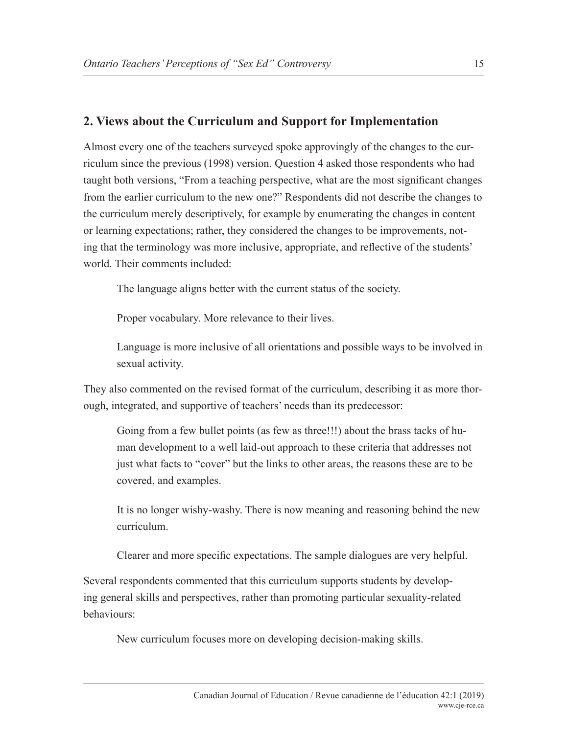## **2. Views about the Curriculum and Support for Implementation**

Almost every one of the teachers surveyed spoke approvingly of the changes to the curriculum since the previous (1998) version. Question 4 asked those respondents who had taught both versions, "From a teaching perspective, what are the most significant changes from the earlier curriculum to the new one?" Respondents did not describe the changes to the curriculum merely descriptively, for example by enumerating the changes in content or learning expectations; rather, they considered the changes to be improvements, noting that the terminology was more inclusive, appropriate, and reflective of the students' world. Their comments included:

The language aligns better with the current status of the society.

Proper vocabulary. More relevance to their lives.

Language is more inclusive of all orientations and possible ways to be involved in sexual activity.

They also commented on the revised format of the curriculum, describing it as more thorough, integrated, and supportive of teachers' needs than its predecessor:

Going from a few bullet points (as few as three!!!) about the brass tacks of human development to a well laid-out approach to these criteria that addresses not just what facts to "cover" but the links to other areas, the reasons these are to be covered, and examples.

It is no longer wishy-washy. There is now meaning and reasoning behind the new curriculum.

Clearer and more specific expectations. The sample dialogues are very helpful.

Several respondents commented that this curriculum supports students by developing general skills and perspectives, rather than promoting particular sexuality-related behaviours:

New curriculum focuses more on developing decision-making skills.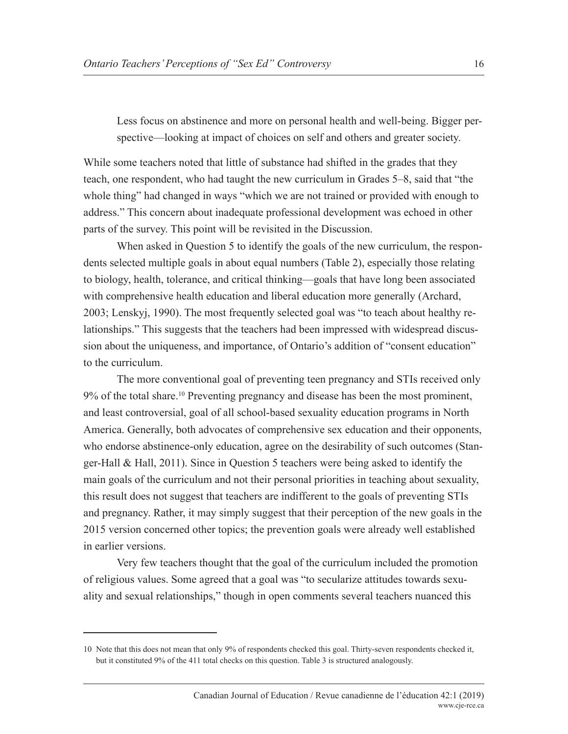Less focus on abstinence and more on personal health and well-being. Bigger perspective—looking at impact of choices on self and others and greater society.

While some teachers noted that little of substance had shifted in the grades that they teach, one respondent, who had taught the new curriculum in Grades 5–8, said that "the whole thing" had changed in ways "which we are not trained or provided with enough to address." This concern about inadequate professional development was echoed in other parts of the survey. This point will be revisited in the Discussion.

When asked in Question 5 to identify the goals of the new curriculum, the respondents selected multiple goals in about equal numbers (Table 2), especially those relating to biology, health, tolerance, and critical thinking—goals that have long been associated with comprehensive health education and liberal education more generally (Archard, 2003; Lenskyj, 1990). The most frequently selected goal was "to teach about healthy relationships." This suggests that the teachers had been impressed with widespread discussion about the uniqueness, and importance, of Ontario's addition of "consent education" to the curriculum.

The more conventional goal of preventing teen pregnancy and STIs received only 9% of the total share.<sup>10</sup> Preventing pregnancy and disease has been the most prominent, and least controversial, goal of all school-based sexuality education programs in North America. Generally, both advocates of comprehensive sex education and their opponents, who endorse abstinence-only education, agree on the desirability of such outcomes (Stanger-Hall & Hall, 2011). Since in Question 5 teachers were being asked to identify the main goals of the curriculum and not their personal priorities in teaching about sexuality, this result does not suggest that teachers are indifferent to the goals of preventing STIs and pregnancy. Rather, it may simply suggest that their perception of the new goals in the 2015 version concerned other topics; the prevention goals were already well established in earlier versions.

Very few teachers thought that the goal of the curriculum included the promotion of religious values. Some agreed that a goal was "to secularize attitudes towards sexuality and sexual relationships," though in open comments several teachers nuanced this

<sup>10</sup> Note that this does not mean that only 9% of respondents checked this goal. Thirty-seven respondents checked it, but it constituted 9% of the 411 total checks on this question. Table 3 is structured analogously.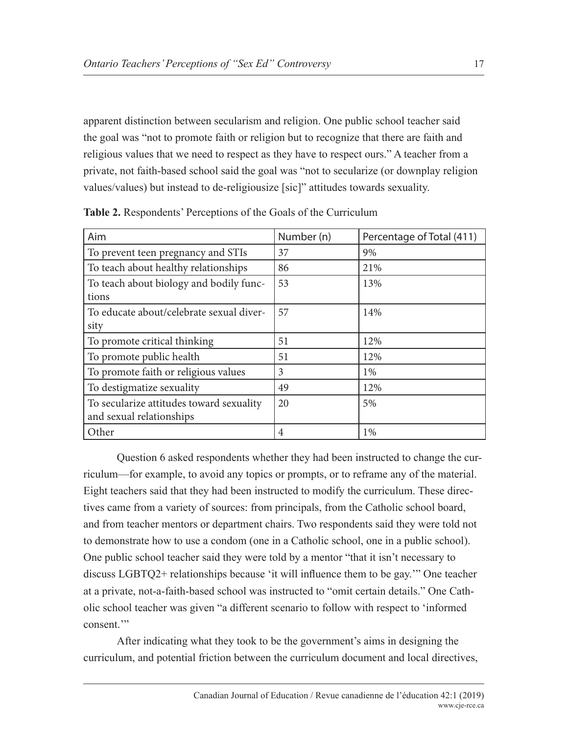apparent distinction between secularism and religion. One public school teacher said the goal was "not to promote faith or religion but to recognize that there are faith and religious values that we need to respect as they have to respect ours." A teacher from a private, not faith-based school said the goal was "not to secularize (or downplay religion values/values) but instead to de-religiousize [sic]" attitudes towards sexuality.

| Aim                                      | Number (n) | Percentage of Total (411) |
|------------------------------------------|------------|---------------------------|
| To prevent teen pregnancy and STIs       | 37         | 9%                        |
| To teach about healthy relationships     | 86         | 21%                       |
| To teach about biology and bodily func-  | 53         | 13%                       |
| tions                                    |            |                           |
| To educate about/celebrate sexual diver- | 57         | 14%                       |
| sity                                     |            |                           |
| To promote critical thinking             | 51         | 12%                       |
| To promote public health                 | 51         | 12%                       |
| To promote faith or religious values     | 3          | $1\%$                     |
| To destigmatize sexuality                | 49         | 12%                       |
| To secularize attitudes toward sexuality | 20         | 5%                        |
| and sexual relationships                 |            |                           |
| Other                                    | 4          | 1%                        |

**Table 2.** Respondents' Perceptions of the Goals of the Curriculum

Question 6 asked respondents whether they had been instructed to change the curriculum—for example, to avoid any topics or prompts, or to reframe any of the material. Eight teachers said that they had been instructed to modify the curriculum. These directives came from a variety of sources: from principals, from the Catholic school board, and from teacher mentors or department chairs. Two respondents said they were told not to demonstrate how to use a condom (one in a Catholic school, one in a public school). One public school teacher said they were told by a mentor "that it isn't necessary to discuss LGBTQ2+ relationships because 'it will influence them to be gay.'" One teacher at a private, not-a-faith-based school was instructed to "omit certain details." One Catholic school teacher was given "a different scenario to follow with respect to 'informed consent<sup>"</sup>

After indicating what they took to be the government's aims in designing the curriculum, and potential friction between the curriculum document and local directives,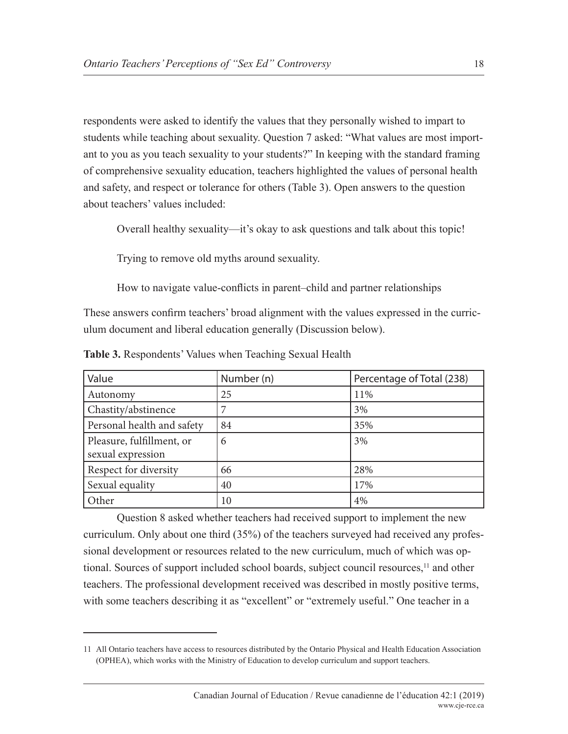respondents were asked to identify the values that they personally wished to impart to students while teaching about sexuality. Question 7 asked: "What values are most important to you as you teach sexuality to your students?" In keeping with the standard framing of comprehensive sexuality education, teachers highlighted the values of personal health and safety, and respect or tolerance for others (Table 3). Open answers to the question about teachers' values included:

Overall healthy sexuality—it's okay to ask questions and talk about this topic!

Trying to remove old myths around sexuality.

How to navigate value-conflicts in parent–child and partner relationships

These answers confirm teachers' broad alignment with the values expressed in the curriculum document and liberal education generally (Discussion below).

| Value                                          | Number (n) | Percentage of Total (238) |
|------------------------------------------------|------------|---------------------------|
| Autonomy                                       | 25         | 11%                       |
| Chastity/abstinence                            |            | 3%                        |
| Personal health and safety                     | 84         | 35%                       |
| Pleasure, fulfillment, or<br>sexual expression | 6          | 3%                        |
| Respect for diversity                          | 66         | 28%                       |
| Sexual equality                                | 40         | 17%                       |
| Other                                          | 10         | 4%                        |

**Table 3.** Respondents' Values when Teaching Sexual Health

Question 8 asked whether teachers had received support to implement the new curriculum. Only about one third (35%) of the teachers surveyed had received any professional development or resources related to the new curriculum, much of which was optional. Sources of support included school boards, subject council resources,<sup>11</sup> and other teachers. The professional development received was described in mostly positive terms, with some teachers describing it as "excellent" or "extremely useful." One teacher in a

<sup>11</sup> All Ontario teachers have access to resources distributed by the Ontario Physical and Health Education Association (OPHEA), which works with the Ministry of Education to develop curriculum and support teachers.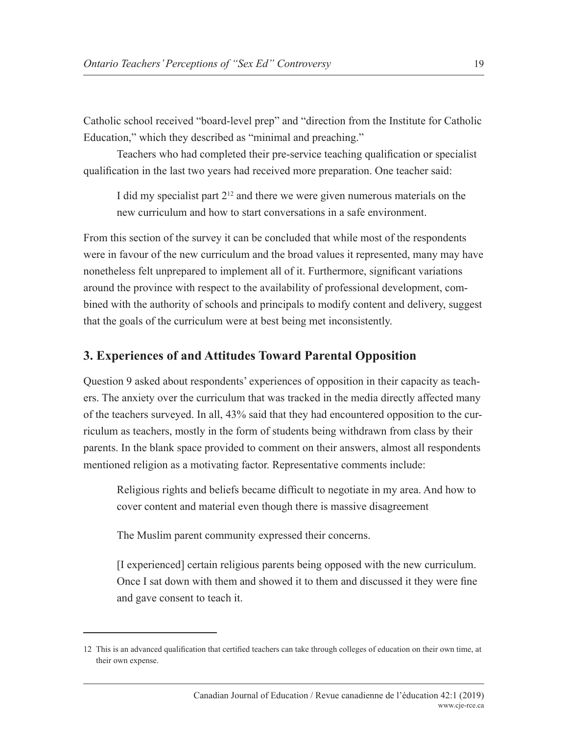Catholic school received "board-level prep" and "direction from the Institute for Catholic Education," which they described as "minimal and preaching."

Teachers who had completed their pre-service teaching qualification or specialist qualification in the last two years had received more preparation. One teacher said:

I did my specialist part  $2^{12}$  and there we were given numerous materials on the new curriculum and how to start conversations in a safe environment.

From this section of the survey it can be concluded that while most of the respondents were in favour of the new curriculum and the broad values it represented, many may have nonetheless felt unprepared to implement all of it. Furthermore, significant variations around the province with respect to the availability of professional development, combined with the authority of schools and principals to modify content and delivery, suggest that the goals of the curriculum were at best being met inconsistently.

## **3. Experiences of and Attitudes Toward Parental Opposition**

Question 9 asked about respondents' experiences of opposition in their capacity as teachers. The anxiety over the curriculum that was tracked in the media directly affected many of the teachers surveyed. In all, 43% said that they had encountered opposition to the curriculum as teachers, mostly in the form of students being withdrawn from class by their parents. In the blank space provided to comment on their answers, almost all respondents mentioned religion as a motivating factor. Representative comments include:

Religious rights and beliefs became difficult to negotiate in my area. And how to cover content and material even though there is massive disagreement

The Muslim parent community expressed their concerns.

[I experienced] certain religious parents being opposed with the new curriculum. Once I sat down with them and showed it to them and discussed it they were fine and gave consent to teach it.

<sup>12</sup> This is an advanced qualification that certified teachers can take through colleges of education on their own time, at their own expense.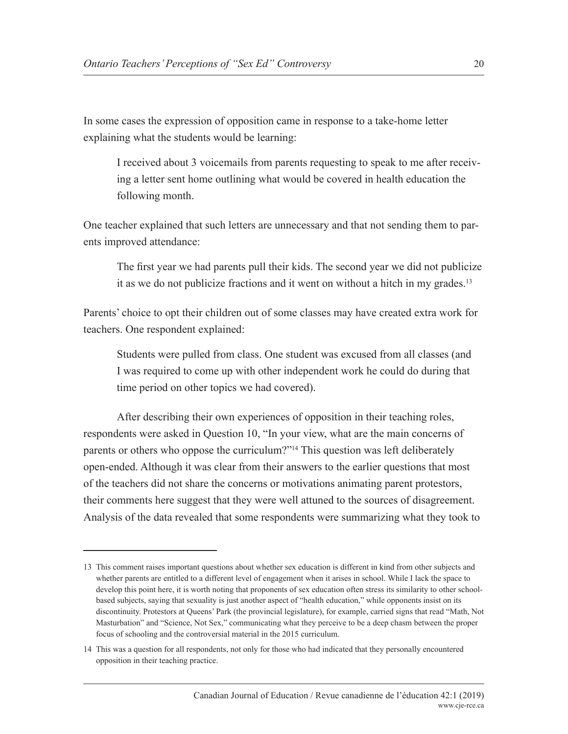In some cases the expression of opposition came in response to a take-home letter explaining what the students would be learning:

I received about 3 voicemails from parents requesting to speak to me after receiving a letter sent home outlining what would be covered in health education the following month.

One teacher explained that such letters are unnecessary and that not sending them to parents improved attendance:

The first year we had parents pull their kids. The second year we did not publicize it as we do not publicize fractions and it went on without a hitch in my grades.<sup>13</sup>

Parents' choice to opt their children out of some classes may have created extra work for teachers. One respondent explained:

Students were pulled from class. One student was excused from all classes (and I was required to come up with other independent work he could do during that time period on other topics we had covered).

After describing their own experiences of opposition in their teaching roles, respondents were asked in Question 10, "In your view, what are the main concerns of parents or others who oppose the curriculum?"14 This question was left deliberately open-ended. Although it was clear from their answers to the earlier questions that most of the teachers did not share the concerns or motivations animating parent protestors, their comments here suggest that they were well attuned to the sources of disagreement. Analysis of the data revealed that some respondents were summarizing what they took to

<sup>13</sup> This comment raises important questions about whether sex education is different in kind from other subjects and whether parents are entitled to a different level of engagement when it arises in school. While I lack the space to develop this point here, it is worth noting that proponents of sex education often stress its similarity to other schoolbased subjects, saying that sexuality is just another aspect of "health education," while opponents insist on its discontinuity. Protestors at Queens' Park (the provincial legislature), for example, carried signs that read "Math, Not Masturbation" and "Science, Not Sex," communicating what they perceive to be a deep chasm between the proper focus of schooling and the controversial material in the 2015 curriculum.

<sup>14</sup> This was a question for all respondents, not only for those who had indicated that they personally encountered opposition in their teaching practice.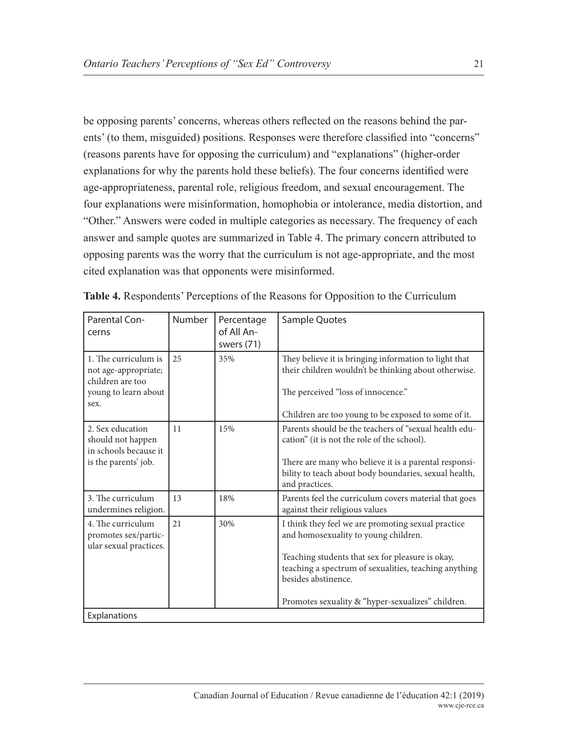be opposing parents' concerns, whereas others reflected on the reasons behind the parents' (to them, misguided) positions. Responses were therefore classified into "concerns" (reasons parents have for opposing the curriculum) and "explanations" (higher-order explanations for why the parents hold these beliefs). The four concerns identified were age-appropriateness, parental role, religious freedom, and sexual encouragement. The four explanations were misinformation, homophobia or intolerance, media distortion, and "Other." Answers were coded in multiple categories as necessary. The frequency of each answer and sample quotes are summarized in Table 4. The primary concern attributed to opposing parents was the worry that the curriculum is not age-appropriate, and the most cited explanation was that opponents were misinformed.

| Parental Con-<br>cerns                                                                           | <b>Number</b> | Percentage<br>of All An-<br>swers (71) | Sample Quotes                                                                                                                                                                                                                                                                       |
|--------------------------------------------------------------------------------------------------|---------------|----------------------------------------|-------------------------------------------------------------------------------------------------------------------------------------------------------------------------------------------------------------------------------------------------------------------------------------|
| 1. The curriculum is<br>not age-appropriate;<br>children are too<br>young to learn about<br>sex. | 25            | 35%                                    | They believe it is bringing information to light that<br>their children wouldn't be thinking about otherwise.<br>The perceived "loss of innocence."<br>Children are too young to be exposed to some of it.                                                                          |
| 2. Sex education<br>should not happen<br>in schools because it<br>is the parents' job.           | 11            | 15%                                    | Parents should be the teachers of "sexual health edu-<br>cation" (it is not the role of the school).<br>There are many who believe it is a parental responsi-<br>bility to teach about body boundaries, sexual health,<br>and practices.                                            |
| 3. The curriculum<br>undermines religion.                                                        | 13            | 18%                                    | Parents feel the curriculum covers material that goes<br>against their religious values                                                                                                                                                                                             |
| 4. The curriculum<br>promotes sex/partic-<br>ular sexual practices.                              | 2.1           | 30%                                    | I think they feel we are promoting sexual practice<br>and homosexuality to young children.<br>Teaching students that sex for pleasure is okay,<br>teaching a spectrum of sexualities, teaching anything<br>besides abstinence.<br>Promotes sexuality & "hyper-sexualizes" children. |
| Explanations                                                                                     |               |                                        |                                                                                                                                                                                                                                                                                     |

|  |  | Table 4. Respondents' Perceptions of the Reasons for Opposition to the Curriculum |  |
|--|--|-----------------------------------------------------------------------------------|--|
|--|--|-----------------------------------------------------------------------------------|--|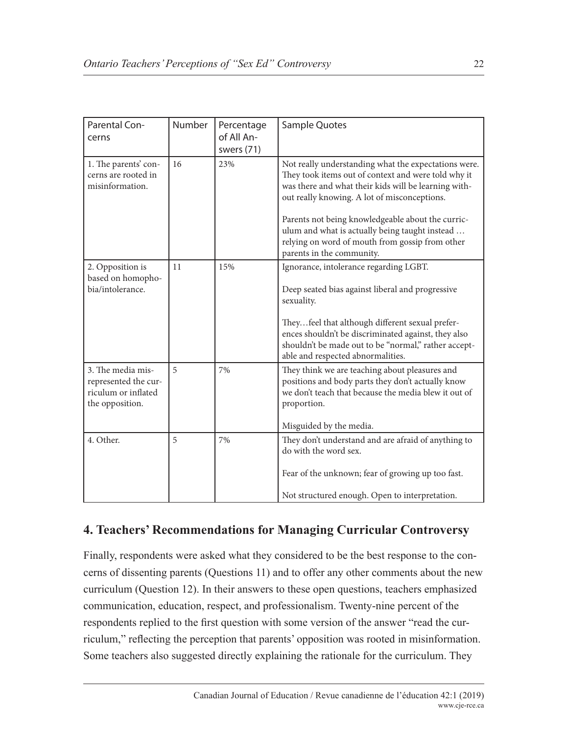| Parental Con-<br>cerns                                                              | Number | Percentage<br>of All An-<br>swers (71) | Sample Quotes                                                                                                                                                                                                                                                                                                                                                                                              |
|-------------------------------------------------------------------------------------|--------|----------------------------------------|------------------------------------------------------------------------------------------------------------------------------------------------------------------------------------------------------------------------------------------------------------------------------------------------------------------------------------------------------------------------------------------------------------|
| 1. The parents' con-<br>cerns are rooted in<br>misinformation.                      | 16     | 23%                                    | Not really understanding what the expectations were.<br>They took items out of context and were told why it<br>was there and what their kids will be learning with-<br>out really knowing. A lot of misconceptions.<br>Parents not being knowledgeable about the curric-<br>ulum and what is actually being taught instead<br>relying on word of mouth from gossip from other<br>parents in the community. |
| 2. Opposition is<br>based on homopho-<br>bia/intolerance.                           | 11     | 15%                                    | Ignorance, intolerance regarding LGBT.<br>Deep seated bias against liberal and progressive<br>sexuality.<br>Theyfeel that although different sexual prefer-<br>ences shouldn't be discriminated against, they also<br>shouldn't be made out to be "normal," rather accept-<br>able and respected abnormalities.                                                                                            |
| 3. The media mis-<br>represented the cur-<br>riculum or inflated<br>the opposition. | 5      | 7%                                     | They think we are teaching about pleasures and<br>positions and body parts they don't actually know<br>we don't teach that because the media blew it out of<br>proportion.<br>Misguided by the media.                                                                                                                                                                                                      |
| 4. Other.                                                                           | 5      | 7%                                     | They don't understand and are afraid of anything to<br>do with the word sex.<br>Fear of the unknown; fear of growing up too fast.<br>Not structured enough. Open to interpretation.                                                                                                                                                                                                                        |

## **4. Teachers' Recommendations for Managing Curricular Controversy**

Finally, respondents were asked what they considered to be the best response to the concerns of dissenting parents (Questions 11) and to offer any other comments about the new curriculum (Question 12). In their answers to these open questions, teachers emphasized communication, education, respect, and professionalism. Twenty-nine percent of the respondents replied to the first question with some version of the answer "read the curriculum," reflecting the perception that parents' opposition was rooted in misinformation. Some teachers also suggested directly explaining the rationale for the curriculum. They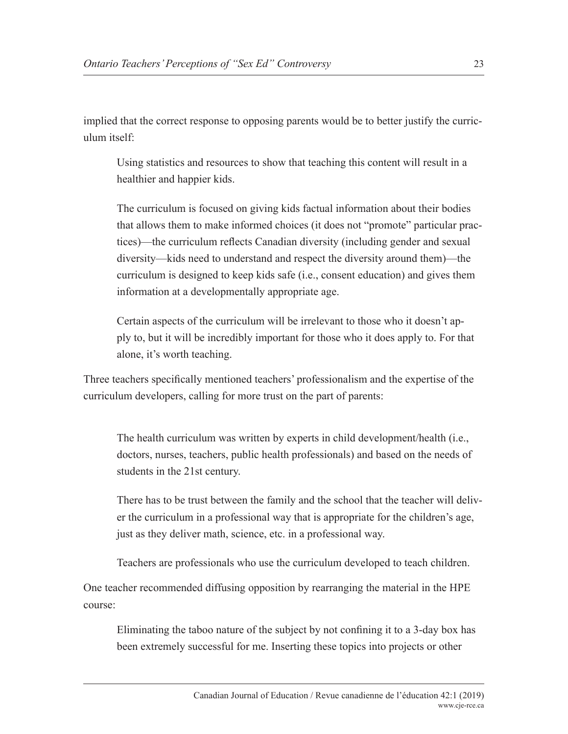implied that the correct response to opposing parents would be to better justify the curriculum itself:

Using statistics and resources to show that teaching this content will result in a healthier and happier kids.

The curriculum is focused on giving kids factual information about their bodies that allows them to make informed choices (it does not "promote" particular practices)—the curriculum reflects Canadian diversity (including gender and sexual diversity—kids need to understand and respect the diversity around them)—the curriculum is designed to keep kids safe (i.e., consent education) and gives them information at a developmentally appropriate age.

Certain aspects of the curriculum will be irrelevant to those who it doesn't apply to, but it will be incredibly important for those who it does apply to. For that alone, it's worth teaching.

Three teachers specifically mentioned teachers' professionalism and the expertise of the curriculum developers, calling for more trust on the part of parents:

The health curriculum was written by experts in child development/health (i.e., doctors, nurses, teachers, public health professionals) and based on the needs of students in the 21st century.

There has to be trust between the family and the school that the teacher will deliver the curriculum in a professional way that is appropriate for the children's age, just as they deliver math, science, etc. in a professional way.

Teachers are professionals who use the curriculum developed to teach children.

One teacher recommended diffusing opposition by rearranging the material in the HPE course:

Eliminating the taboo nature of the subject by not confining it to a 3-day box has been extremely successful for me. Inserting these topics into projects or other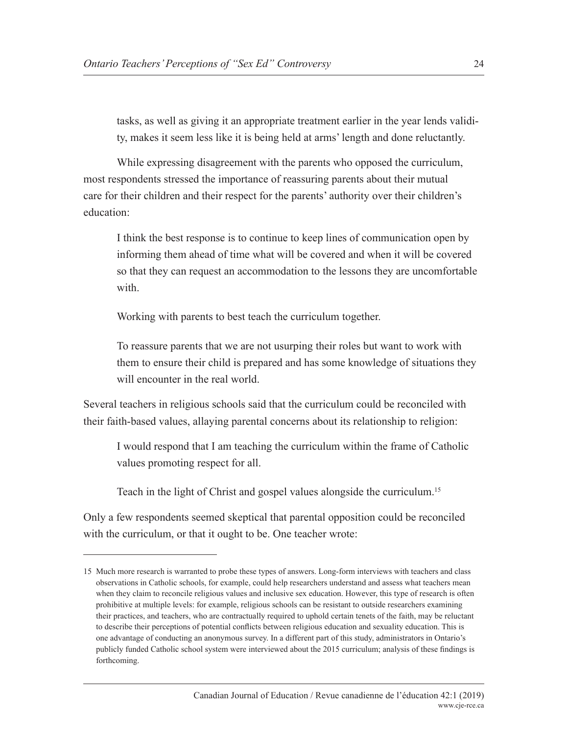tasks, as well as giving it an appropriate treatment earlier in the year lends validity, makes it seem less like it is being held at arms' length and done reluctantly.

While expressing disagreement with the parents who opposed the curriculum, most respondents stressed the importance of reassuring parents about their mutual care for their children and their respect for the parents' authority over their children's education:

I think the best response is to continue to keep lines of communication open by informing them ahead of time what will be covered and when it will be covered so that they can request an accommodation to the lessons they are uncomfortable with

Working with parents to best teach the curriculum together.

To reassure parents that we are not usurping their roles but want to work with them to ensure their child is prepared and has some knowledge of situations they will encounter in the real world.

Several teachers in religious schools said that the curriculum could be reconciled with their faith-based values, allaying parental concerns about its relationship to religion:

I would respond that I am teaching the curriculum within the frame of Catholic values promoting respect for all.

Teach in the light of Christ and gospel values alongside the curriculum.15

Only a few respondents seemed skeptical that parental opposition could be reconciled with the curriculum, or that it ought to be. One teacher wrote:

<sup>15</sup> Much more research is warranted to probe these types of answers. Long-form interviews with teachers and class observations in Catholic schools, for example, could help researchers understand and assess what teachers mean when they claim to reconcile religious values and inclusive sex education. However, this type of research is often prohibitive at multiple levels: for example, religious schools can be resistant to outside researchers examining their practices, and teachers, who are contractually required to uphold certain tenets of the faith, may be reluctant to describe their perceptions of potential conflicts between religious education and sexuality education. This is one advantage of conducting an anonymous survey. In a different part of this study, administrators in Ontario's publicly funded Catholic school system were interviewed about the 2015 curriculum; analysis of these findings is forthcoming.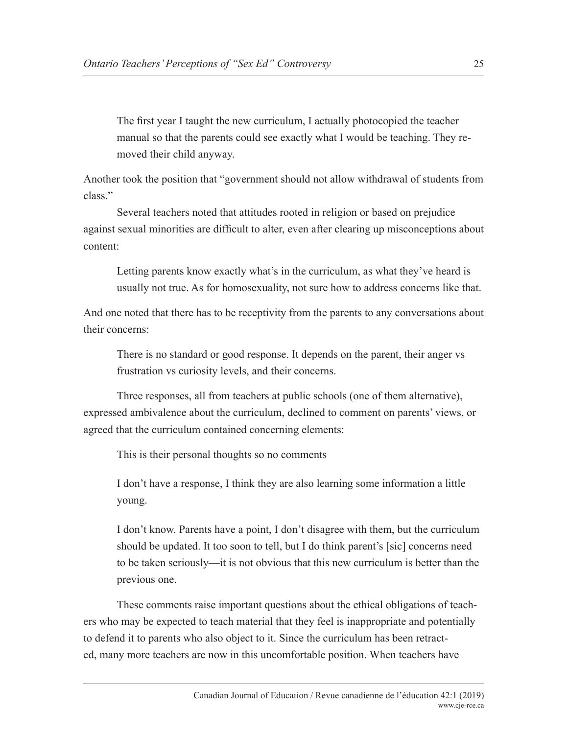The first year I taught the new curriculum, I actually photocopied the teacher manual so that the parents could see exactly what I would be teaching. They removed their child anyway.

Another took the position that "government should not allow withdrawal of students from class."

Several teachers noted that attitudes rooted in religion or based on prejudice against sexual minorities are difficult to alter, even after clearing up misconceptions about content:

Letting parents know exactly what's in the curriculum, as what they've heard is usually not true. As for homosexuality, not sure how to address concerns like that.

And one noted that there has to be receptivity from the parents to any conversations about their concerns:

There is no standard or good response. It depends on the parent, their anger vs frustration vs curiosity levels, and their concerns.

Three responses, all from teachers at public schools (one of them alternative), expressed ambivalence about the curriculum, declined to comment on parents' views, or agreed that the curriculum contained concerning elements:

This is their personal thoughts so no comments

I don't have a response, I think they are also learning some information a little young.

I don't know. Parents have a point, I don't disagree with them, but the curriculum should be updated. It too soon to tell, but I do think parent's [sic] concerns need to be taken seriously—it is not obvious that this new curriculum is better than the previous one.

These comments raise important questions about the ethical obligations of teachers who may be expected to teach material that they feel is inappropriate and potentially to defend it to parents who also object to it. Since the curriculum has been retracted, many more teachers are now in this uncomfortable position. When teachers have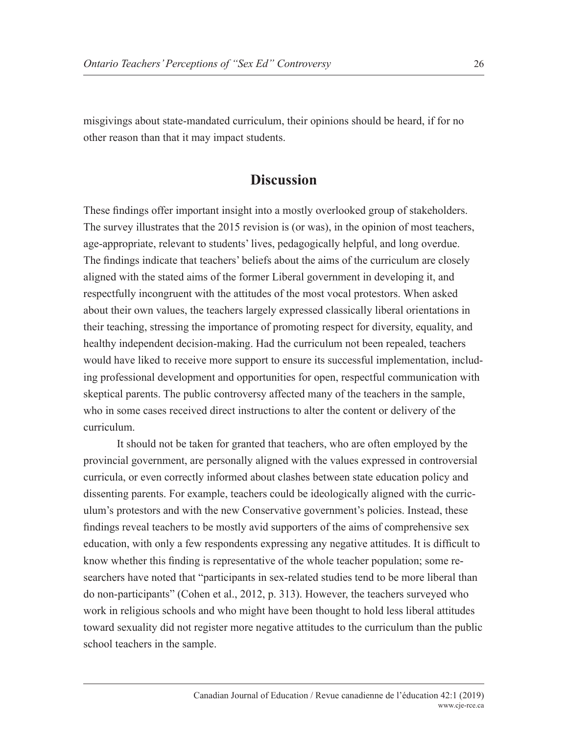misgivings about state-mandated curriculum, their opinions should be heard, if for no other reason than that it may impact students.

## **Discussion**

These findings offer important insight into a mostly overlooked group of stakeholders. The survey illustrates that the 2015 revision is (or was), in the opinion of most teachers, age-appropriate, relevant to students' lives, pedagogically helpful, and long overdue. The findings indicate that teachers' beliefs about the aims of the curriculum are closely aligned with the stated aims of the former Liberal government in developing it, and respectfully incongruent with the attitudes of the most vocal protestors. When asked about their own values, the teachers largely expressed classically liberal orientations in their teaching, stressing the importance of promoting respect for diversity, equality, and healthy independent decision-making. Had the curriculum not been repealed, teachers would have liked to receive more support to ensure its successful implementation, including professional development and opportunities for open, respectful communication with skeptical parents. The public controversy affected many of the teachers in the sample, who in some cases received direct instructions to alter the content or delivery of the curriculum.

It should not be taken for granted that teachers, who are often employed by the provincial government, are personally aligned with the values expressed in controversial curricula, or even correctly informed about clashes between state education policy and dissenting parents. For example, teachers could be ideologically aligned with the curriculum's protestors and with the new Conservative government's policies. Instead, these findings reveal teachers to be mostly avid supporters of the aims of comprehensive sex education, with only a few respondents expressing any negative attitudes. It is difficult to know whether this finding is representative of the whole teacher population; some researchers have noted that "participants in sex-related studies tend to be more liberal than do non-participants" (Cohen et al., 2012, p. 313). However, the teachers surveyed who work in religious schools and who might have been thought to hold less liberal attitudes toward sexuality did not register more negative attitudes to the curriculum than the public school teachers in the sample.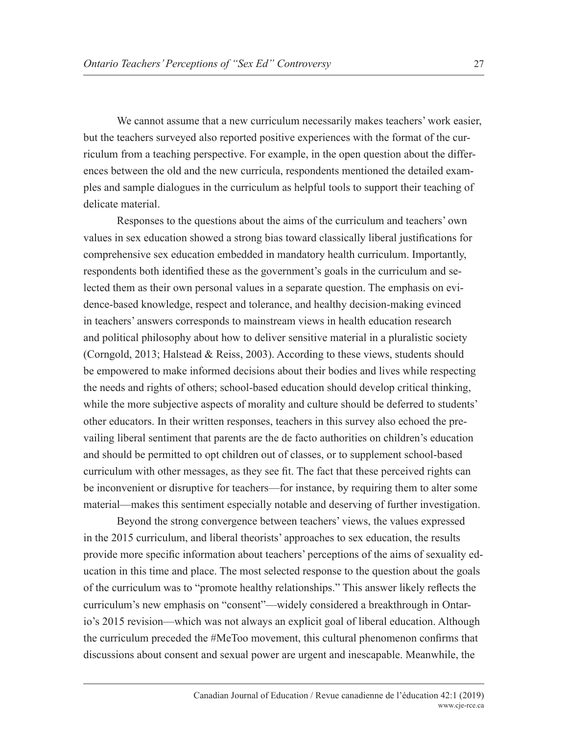We cannot assume that a new curriculum necessarily makes teachers' work easier, but the teachers surveyed also reported positive experiences with the format of the curriculum from a teaching perspective. For example, in the open question about the differences between the old and the new curricula, respondents mentioned the detailed examples and sample dialogues in the curriculum as helpful tools to support their teaching of delicate material.

Responses to the questions about the aims of the curriculum and teachers' own values in sex education showed a strong bias toward classically liberal justifications for comprehensive sex education embedded in mandatory health curriculum. Importantly, respondents both identified these as the government's goals in the curriculum and selected them as their own personal values in a separate question. The emphasis on evidence-based knowledge, respect and tolerance, and healthy decision-making evinced in teachers' answers corresponds to mainstream views in health education research and political philosophy about how to deliver sensitive material in a pluralistic society (Corngold, 2013; Halstead & Reiss, 2003). According to these views, students should be empowered to make informed decisions about their bodies and lives while respecting the needs and rights of others; school-based education should develop critical thinking, while the more subjective aspects of morality and culture should be deferred to students' other educators. In their written responses, teachers in this survey also echoed the prevailing liberal sentiment that parents are the de facto authorities on children's education and should be permitted to opt children out of classes, or to supplement school-based curriculum with other messages, as they see fit. The fact that these perceived rights can be inconvenient or disruptive for teachers—for instance, by requiring them to alter some material—makes this sentiment especially notable and deserving of further investigation.

Beyond the strong convergence between teachers' views, the values expressed in the 2015 curriculum, and liberal theorists' approaches to sex education, the results provide more specific information about teachers' perceptions of the aims of sexuality education in this time and place. The most selected response to the question about the goals of the curriculum was to "promote healthy relationships." This answer likely reflects the curriculum's new emphasis on "consent"—widely considered a breakthrough in Ontario's 2015 revision—which was not always an explicit goal of liberal education. Although the curriculum preceded the #MeToo movement, this cultural phenomenon confirms that discussions about consent and sexual power are urgent and inescapable. Meanwhile, the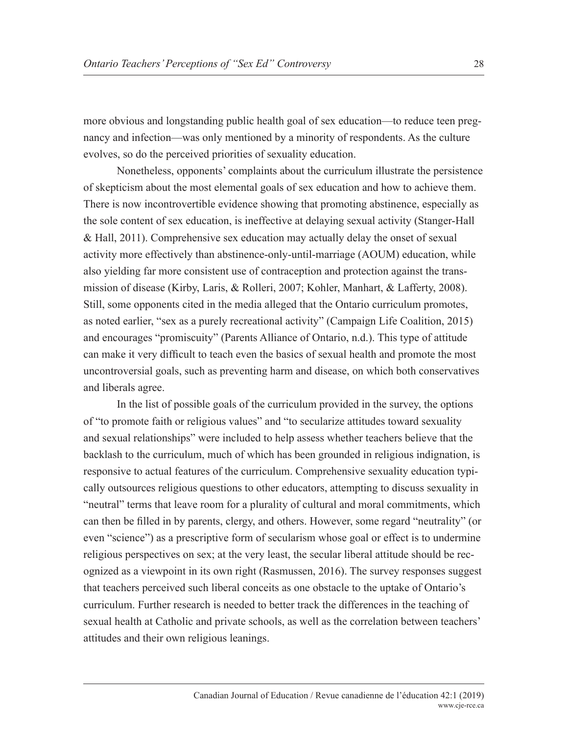more obvious and longstanding public health goal of sex education—to reduce teen pregnancy and infection—was only mentioned by a minority of respondents. As the culture evolves, so do the perceived priorities of sexuality education.

Nonetheless, opponents' complaints about the curriculum illustrate the persistence of skepticism about the most elemental goals of sex education and how to achieve them. There is now incontrovertible evidence showing that promoting abstinence, especially as the sole content of sex education, is ineffective at delaying sexual activity (Stanger-Hall & Hall, 2011). Comprehensive sex education may actually delay the onset of sexual activity more effectively than abstinence-only-until-marriage (AOUM) education, while also yielding far more consistent use of contraception and protection against the transmission of disease (Kirby, Laris, & Rolleri, 2007; Kohler, Manhart, & Lafferty, 2008). Still, some opponents cited in the media alleged that the Ontario curriculum promotes, as noted earlier, "sex as a purely recreational activity" (Campaign Life Coalition, 2015) and encourages "promiscuity" (Parents Alliance of Ontario, n.d.). This type of attitude can make it very difficult to teach even the basics of sexual health and promote the most uncontroversial goals, such as preventing harm and disease, on which both conservatives and liberals agree.

In the list of possible goals of the curriculum provided in the survey, the options of "to promote faith or religious values" and "to secularize attitudes toward sexuality and sexual relationships" were included to help assess whether teachers believe that the backlash to the curriculum, much of which has been grounded in religious indignation, is responsive to actual features of the curriculum. Comprehensive sexuality education typically outsources religious questions to other educators, attempting to discuss sexuality in "neutral" terms that leave room for a plurality of cultural and moral commitments, which can then be filled in by parents, clergy, and others. However, some regard "neutrality" (or even "science") as a prescriptive form of secularism whose goal or effect is to undermine religious perspectives on sex; at the very least, the secular liberal attitude should be recognized as a viewpoint in its own right (Rasmussen, 2016). The survey responses suggest that teachers perceived such liberal conceits as one obstacle to the uptake of Ontario's curriculum. Further research is needed to better track the differences in the teaching of sexual health at Catholic and private schools, as well as the correlation between teachers' attitudes and their own religious leanings.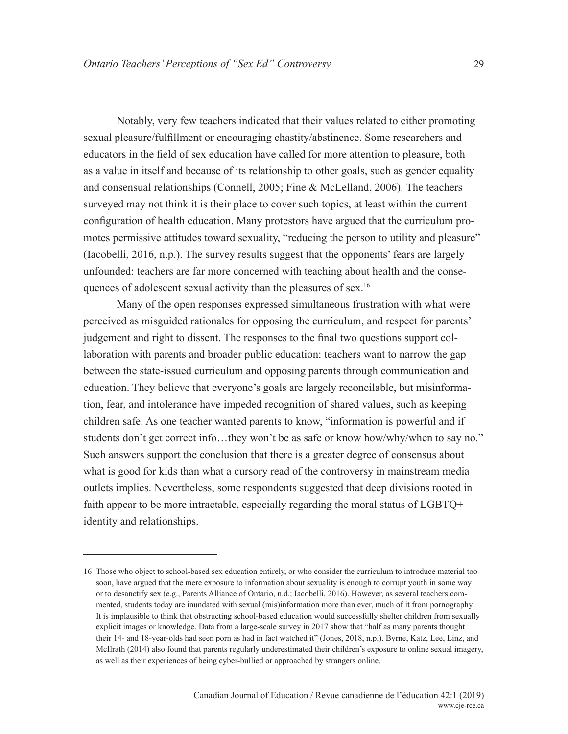Notably, very few teachers indicated that their values related to either promoting sexual pleasure/fulfillment or encouraging chastity/abstinence. Some researchers and educators in the field of sex education have called for more attention to pleasure, both as a value in itself and because of its relationship to other goals, such as gender equality and consensual relationships (Connell, 2005; Fine & McLelland, 2006). The teachers surveyed may not think it is their place to cover such topics, at least within the current configuration of health education. Many protestors have argued that the curriculum promotes permissive attitudes toward sexuality, "reducing the person to utility and pleasure" (Iacobelli, 2016, n.p.). The survey results suggest that the opponents' fears are largely unfounded: teachers are far more concerned with teaching about health and the consequences of adolescent sexual activity than the pleasures of sex.<sup>16</sup>

Many of the open responses expressed simultaneous frustration with what were perceived as misguided rationales for opposing the curriculum, and respect for parents' judgement and right to dissent. The responses to the final two questions support collaboration with parents and broader public education: teachers want to narrow the gap between the state-issued curriculum and opposing parents through communication and education. They believe that everyone's goals are largely reconcilable, but misinformation, fear, and intolerance have impeded recognition of shared values, such as keeping children safe. As one teacher wanted parents to know, "information is powerful and if students don't get correct info…they won't be as safe or know how/why/when to say no." Such answers support the conclusion that there is a greater degree of consensus about what is good for kids than what a cursory read of the controversy in mainstream media outlets implies. Nevertheless, some respondents suggested that deep divisions rooted in faith appear to be more intractable, especially regarding the moral status of LGBTQ+ identity and relationships.

<sup>16</sup> Those who object to school-based sex education entirely, or who consider the curriculum to introduce material too soon, have argued that the mere exposure to information about sexuality is enough to corrupt youth in some way or to desanctify sex (e.g., Parents Alliance of Ontario, n.d.; Iacobelli, 2016). However, as several teachers commented, students today are inundated with sexual (mis)information more than ever, much of it from pornography. It is implausible to think that obstructing school-based education would successfully shelter children from sexually explicit images or knowledge. Data from a large-scale survey in 2017 show that "half as many parents thought their 14- and 18-year-olds had seen porn as had in fact watched it" (Jones, 2018, n.p.). Byrne, Katz, Lee, Linz, and McIlrath (2014) also found that parents regularly underestimated their children's exposure to online sexual imagery, as well as their experiences of being cyber-bullied or approached by strangers online.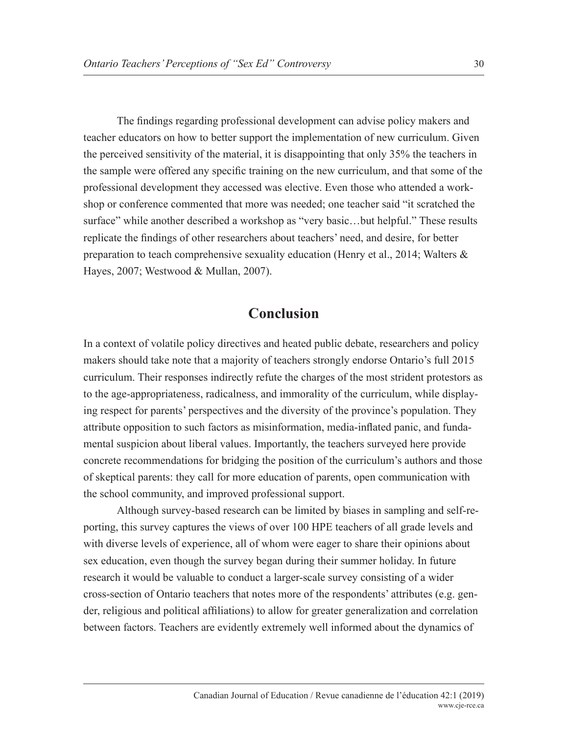The findings regarding professional development can advise policy makers and teacher educators on how to better support the implementation of new curriculum. Given the perceived sensitivity of the material, it is disappointing that only 35% the teachers in the sample were offered any specific training on the new curriculum, and that some of the professional development they accessed was elective. Even those who attended a workshop or conference commented that more was needed; one teacher said "it scratched the surface" while another described a workshop as "very basic…but helpful." These results replicate the findings of other researchers about teachers' need, and desire, for better preparation to teach comprehensive sexuality education (Henry et al., 2014; Walters & Hayes, 2007; Westwood & Mullan, 2007).

## **Conclusion**

In a context of volatile policy directives and heated public debate, researchers and policy makers should take note that a majority of teachers strongly endorse Ontario's full 2015 curriculum. Their responses indirectly refute the charges of the most strident protestors as to the age-appropriateness, radicalness, and immorality of the curriculum, while displaying respect for parents' perspectives and the diversity of the province's population. They attribute opposition to such factors as misinformation, media-inflated panic, and fundamental suspicion about liberal values. Importantly, the teachers surveyed here provide concrete recommendations for bridging the position of the curriculum's authors and those of skeptical parents: they call for more education of parents, open communication with the school community, and improved professional support.

Although survey-based research can be limited by biases in sampling and self-reporting, this survey captures the views of over 100 HPE teachers of all grade levels and with diverse levels of experience, all of whom were eager to share their opinions about sex education, even though the survey began during their summer holiday. In future research it would be valuable to conduct a larger-scale survey consisting of a wider cross-section of Ontario teachers that notes more of the respondents' attributes (e.g. gender, religious and political affiliations) to allow for greater generalization and correlation between factors. Teachers are evidently extremely well informed about the dynamics of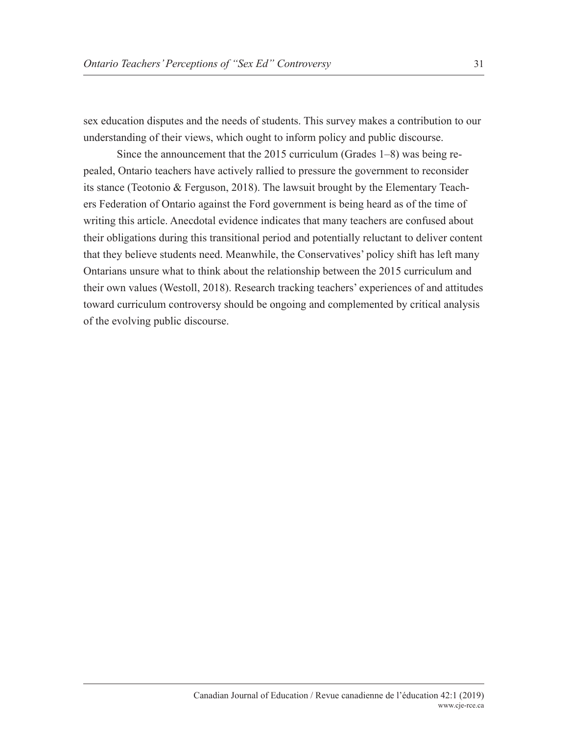sex education disputes and the needs of students. This survey makes a contribution to our understanding of their views, which ought to inform policy and public discourse.

Since the announcement that the 2015 curriculum (Grades 1–8) was being repealed, Ontario teachers have actively rallied to pressure the government to reconsider its stance (Teotonio & Ferguson, 2018). The lawsuit brought by the Elementary Teachers Federation of Ontario against the Ford government is being heard as of the time of writing this article. Anecdotal evidence indicates that many teachers are confused about their obligations during this transitional period and potentially reluctant to deliver content that they believe students need. Meanwhile, the Conservatives' policy shift has left many Ontarians unsure what to think about the relationship between the 2015 curriculum and their own values (Westoll, 2018). Research tracking teachers' experiences of and attitudes toward curriculum controversy should be ongoing and complemented by critical analysis of the evolving public discourse.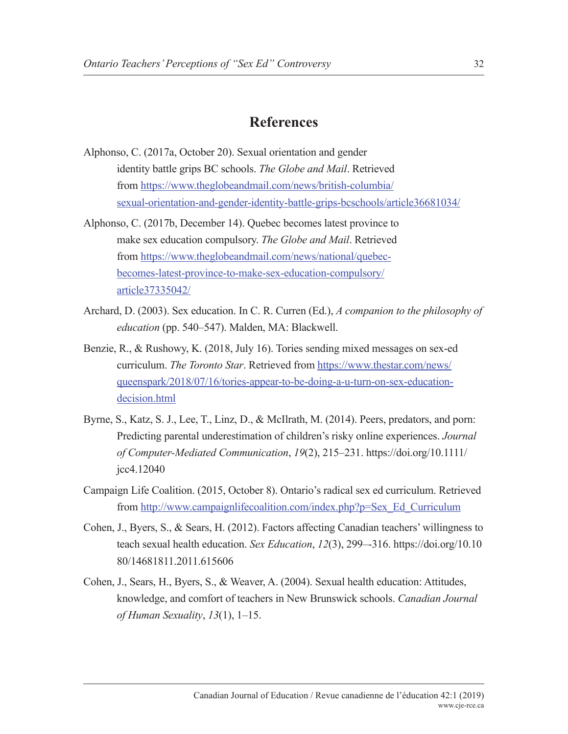## **References**

- Alphonso, C. (2017a, October 20). Sexual orientation and gender identity battle grips BC schools. *The Globe and Mail*. Retrieved from https://www.theglobeandmail.com/news/british-columbia/ sexual-orientation-and-gender-identity-battle-grips-bcschools/article36681034/
- Alphonso, C. (2017b, December 14). Quebec becomes latest province to make sex education compulsory. *The Globe and Mail*. Retrieved from https://www.theglobeandmail.com/news/national/quebecbecomes-latest-province-to-make-sex-education-compulsory/ article37335042/
- Archard, D. (2003). Sex education. In C. R. Curren (Ed.), *A companion to the philosophy of education* (pp. 540–547). Malden, MA: Blackwell.
- Benzie, R., & Rushowy, K. (2018, July 16). Tories sending mixed messages on sex-ed curriculum. *The Toronto Star*. Retrieved from https://www.thestar.com/news/ queenspark/2018/07/16/tories-appear-to-be-doing-a-u-turn-on-sex-educationdecision.html
- Byrne, S., Katz, S. J., Lee, T., Linz, D., & McIlrath, M. (2014). Peers, predators, and porn: Predicting parental underestimation of children's risky online experiences. *Journal of Computer-Mediated Communication*, *19*(2), 215–231. https://doi.org/10.1111/ jcc4.12040
- Campaign Life Coalition. (2015, October 8). Ontario's radical sex ed curriculum. Retrieved from http://www.campaignlifecoalition.com/index.php?p=Sex\_Ed\_Curriculum
- Cohen, J., Byers, S., & Sears, H. (2012). Factors affecting Canadian teachers' willingness to teach sexual health education. *Sex Education*, *12*(3), 299–-316. https://doi.org/10.10 80/14681811.2011.615606
- Cohen, J., Sears, H., Byers, S., & Weaver, A. (2004). Sexual health education: Attitudes, knowledge, and comfort of teachers in New Brunswick schools. *Canadian Journal of Human Sexuality*, *13*(1), 1–15.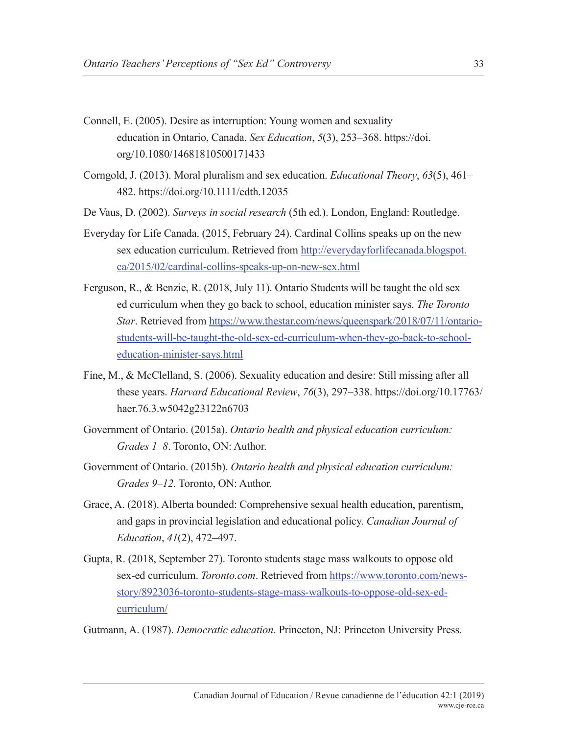- Connell, E. (2005). Desire as interruption: Young women and sexuality education in Ontario, Canada. *Sex Education*, *5*(3), 253–368. https://doi. org/10.1080/14681810500171433
- Corngold, J. (2013). Moral pluralism and sex education. *Educational Theory*, *63*(5), 461– 482. https://doi.org/10.1111/edth.12035
- De Vaus, D. (2002). *Surveys in social research* (5th ed.). London, England: Routledge.
- Everyday for Life Canada. (2015, February 24). Cardinal Collins speaks up on the new sex education curriculum. Retrieved from http://everydayforlifecanada.blogspot. ca/2015/02/cardinal-collins-speaks-up-on-new-sex.html
- Ferguson, R., & Benzie, R. (2018, July 11). Ontario Students will be taught the old sex ed curriculum when they go back to school, education minister says. *The Toronto Star*. Retrieved from https://www.thestar.com/news/queenspark/2018/07/11/ontariostudents-will-be-taught-the-old-sex-ed-curriculum-when-they-go-back-to-schooleducation-minister-says.html
- Fine, M., & McClelland, S. (2006). Sexuality education and desire: Still missing after all these years. *Harvard Educational Review*, *76*(3), 297–338. https://doi.org/10.17763/ haer.76.3.w5042g23122n6703
- Government of Ontario. (2015a). *Ontario health and physical education curriculum: Grades 1–8*. Toronto, ON: Author.
- Government of Ontario. (2015b). *Ontario health and physical education curriculum: Grades 9–12*. Toronto, ON: Author.
- Grace, A. (2018). Alberta bounded: Comprehensive sexual health education, parentism, and gaps in provincial legislation and educational policy. *Canadian Journal of Education*, *41*(2), 472–497.
- Gupta, R. (2018, September 27). Toronto students stage mass walkouts to oppose old sex-ed curriculum. *Toronto.com*. Retrieved from https://www.toronto.com/newsstory/8923036-toronto-students-stage-mass-walkouts-to-oppose-old-sex-edcurriculum/

Gutmann, A. (1987). *Democratic education*. Princeton, NJ: Princeton University Press.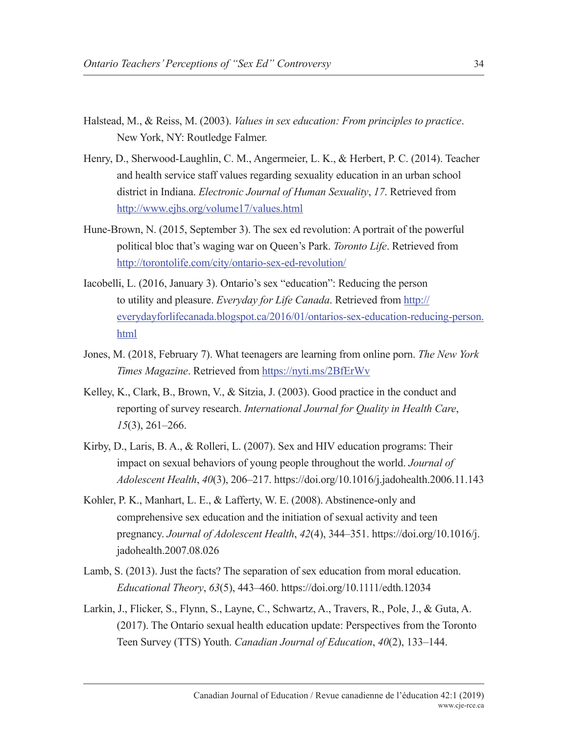- Halstead, M., & Reiss, M. (2003). *Values in sex education: From principles to practice*. New York, NY: Routledge Falmer.
- Henry, D., Sherwood-Laughlin, C. M., Angermeier, L. K., & Herbert, P. C. (2014). Teacher and health service staff values regarding sexuality education in an urban school district in Indiana. *Electronic Journal of Human Sexuality*, *17*. Retrieved from http://www.ejhs.org/volume17/values.html
- Hune-Brown, N. (2015, September 3). The sex ed revolution: A portrait of the powerful political bloc that's waging war on Queen's Park. *Toronto Life*. Retrieved from http://torontolife.com/city/ontario-sex-ed-revolution/
- Iacobelli, L. (2016, January 3). Ontario's sex "education": Reducing the person to utility and pleasure. *Everyday for Life Canada*. Retrieved from http:// everydayforlifecanada.blogspot.ca/2016/01/ontarios-sex-education-reducing-person. html
- Jones, M. (2018, February 7). What teenagers are learning from online porn. *The New York Times Magazine*. Retrieved from https://nyti.ms/2BfErWv
- Kelley, K., Clark, B., Brown, V., & Sitzia, J. (2003). Good practice in the conduct and reporting of survey research. *International Journal for Quality in Health Care*, *15*(3), 261–266.
- Kirby, D., Laris, B. A., & Rolleri, L. (2007). Sex and HIV education programs: Their impact on sexual behaviors of young people throughout the world. *Journal of Adolescent Health*, *40*(3), 206–217. https://doi.org/10.1016/j.jadohealth.2006.11.143
- Kohler, P. K., Manhart, L. E., & Lafferty, W. E. (2008). Abstinence-only and comprehensive sex education and the initiation of sexual activity and teen pregnancy. *Journal of Adolescent Health*, *42*(4), 344–351. https://doi.org/10.1016/j. jadohealth.2007.08.026
- Lamb, S. (2013). Just the facts? The separation of sex education from moral education. *Educational Theory*, *63*(5), 443–460. https://doi.org/10.1111/edth.12034
- Larkin, J., Flicker, S., Flynn, S., Layne, C., Schwartz, A., Travers, R., Pole, J., & Guta, A. (2017). The Ontario sexual health education update: Perspectives from the Toronto Teen Survey (TTS) Youth. *Canadian Journal of Education*, *40*(2), 133–144.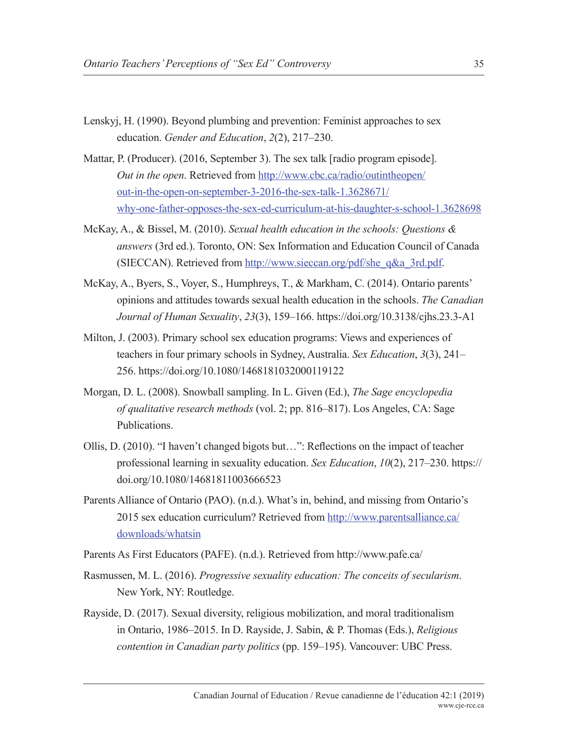- Lenskyj, H. (1990). Beyond plumbing and prevention: Feminist approaches to sex education. *Gender and Education*, *2*(2), 217–230.
- Mattar, P. (Producer). (2016, September 3). The sex talk [radio program episode]. *Out in the open*. Retrieved from http://www.cbc.ca/radio/outintheopen/ out-in-the-open-on-september-3-2016-the-sex-talk-1.3628671/ why-one-father-opposes-the-sex-ed-curriculum-at-his-daughter-s-school-1.3628698
- McKay, A., & Bissel, M. (2010). *Sexual health education in the schools: Questions & answers* (3rd ed.). Toronto, ON: Sex Information and Education Council of Canada (SIECCAN). Retrieved from http://www.sieccan.org/pdf/she\_q&a\_3rd.pdf.
- McKay, A., Byers, S., Voyer, S., Humphreys, T., & Markham, C. (2014). Ontario parents' opinions and attitudes towards sexual health education in the schools. *The Canadian Journal of Human Sexuality*, *23*(3), 159–166. https://doi.org/10.3138/cjhs.23.3-A1
- Milton, J. (2003). Primary school sex education programs: Views and experiences of teachers in four primary schools in Sydney, Australia. *Sex Education*, *3*(3), 241– 256. https://doi.org/10.1080/1468181032000119122
- Morgan, D. L. (2008). Snowball sampling. In L. Given (Ed.), *The Sage encyclopedia of qualitative research methods* (vol. 2; pp. 816–817). Los Angeles, CA: Sage Publications.
- Ollis, D. (2010). "I haven't changed bigots but…": Reflections on the impact of teacher professional learning in sexuality education. *Sex Education*, *10*(2), 217–230. https:// doi.org/10.1080/14681811003666523
- Parents Alliance of Ontario (PAO). (n.d.). What's in, behind, and missing from Ontario's 2015 sex education curriculum? Retrieved from http://www.parentsalliance.ca/ downloads/whatsin
- Parents As First Educators (PAFE). (n.d.). Retrieved from http://www.pafe.ca/
- Rasmussen, M. L. (2016). *Progressive sexuality education: The conceits of secularism*. New York, NY: Routledge.
- Rayside, D. (2017). Sexual diversity, religious mobilization, and moral traditionalism in Ontario, 1986–2015. In D. Rayside, J. Sabin, & P. Thomas (Eds.), *Religious contention in Canadian party politics* (pp. 159–195). Vancouver: UBC Press.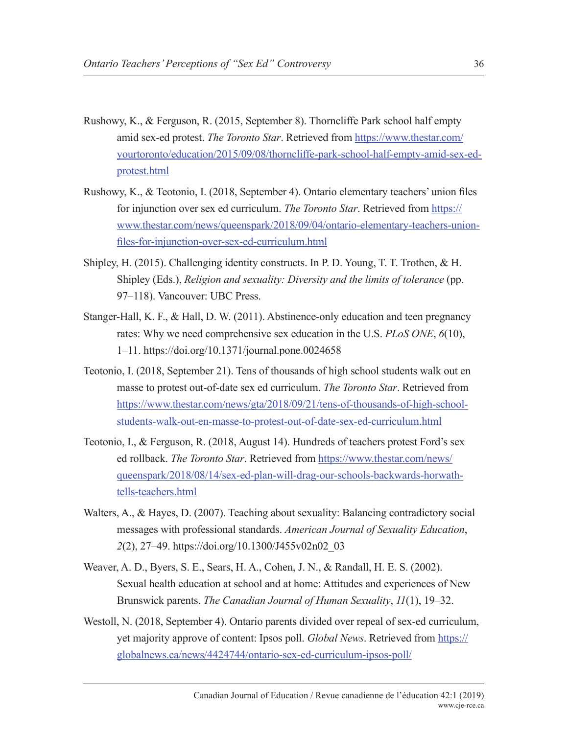- Rushowy, K., & Ferguson, R. (2015, September 8). Thorncliffe Park school half empty amid sex-ed protest. *The Toronto Star*. Retrieved from https://www.thestar.com/ yourtoronto/education/2015/09/08/thorncliffe-park-school-half-empty-amid-sex-edprotest.html
- Rushowy, K., & Teotonio, I. (2018, September 4). Ontario elementary teachers' union files for injunction over sex ed curriculum. *The Toronto Star*. Retrieved from https:// www.thestar.com/news/queenspark/2018/09/04/ontario-elementary-teachers-unionfiles-for-injunction-over-sex-ed-curriculum.html
- Shipley, H. (2015). Challenging identity constructs. In P. D. Young, T. T. Trothen, & H. Shipley (Eds.), *Religion and sexuality: Diversity and the limits of tolerance* (pp. 97–118). Vancouver: UBC Press.
- Stanger-Hall, K. F., & Hall, D. W. (2011). Abstinence-only education and teen pregnancy rates: Why we need comprehensive sex education in the U.S. *PLoS ONE*, *6*(10), 1–11. https://doi.org/10.1371/journal.pone.0024658
- Teotonio, I. (2018, September 21). Tens of thousands of high school students walk out en masse to protest out-of-date sex ed curriculum. *The Toronto Star*. Retrieved from https://www.thestar.com/news/gta/2018/09/21/tens-of-thousands-of-high-schoolstudents-walk-out-en-masse-to-protest-out-of-date-sex-ed-curriculum.html
- Teotonio, I., & Ferguson, R. (2018, August 14). Hundreds of teachers protest Ford's sex ed rollback. *The Toronto Star*. Retrieved from https://www.thestar.com/news/ queenspark/2018/08/14/sex-ed-plan-will-drag-our-schools-backwards-horwathtells-teachers.html
- Walters, A., & Hayes, D. (2007). Teaching about sexuality: Balancing contradictory social messages with professional standards. *American Journal of Sexuality Education*, *2*(2), 27–49. https://doi.org/10.1300/J455v02n02\_03
- Weaver, A. D., Byers, S. E., Sears, H. A., Cohen, J. N., & Randall, H. E. S. (2002). Sexual health education at school and at home: Attitudes and experiences of New Brunswick parents. *The Canadian Journal of Human Sexuality*, *11*(1), 19–32.
- Westoll, N. (2018, September 4). Ontario parents divided over repeal of sex-ed curriculum, yet majority approve of content: Ipsos poll. *Global News*. Retrieved from https:// globalnews.ca/news/4424744/ontario-sex-ed-curriculum-ipsos-poll/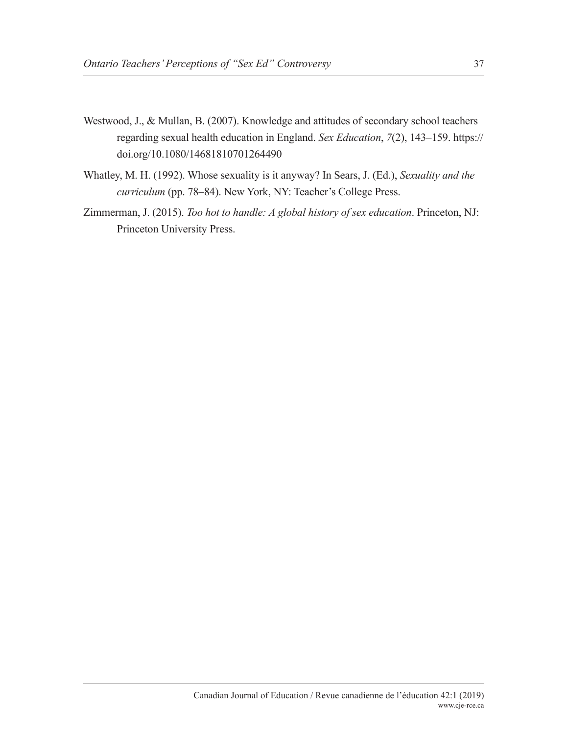- Westwood, J., & Mullan, B. (2007). Knowledge and attitudes of secondary school teachers regarding sexual health education in England. *Sex Education*, *7*(2), 143–159. https:// doi.org/10.1080/14681810701264490
- Whatley, M. H. (1992). Whose sexuality is it anyway? In Sears, J. (Ed.), *Sexuality and the curriculum* (pp. 78–84). New York, NY: Teacher's College Press.
- Zimmerman, J. (2015). *Too hot to handle: A global history of sex education*. Princeton, NJ: Princeton University Press.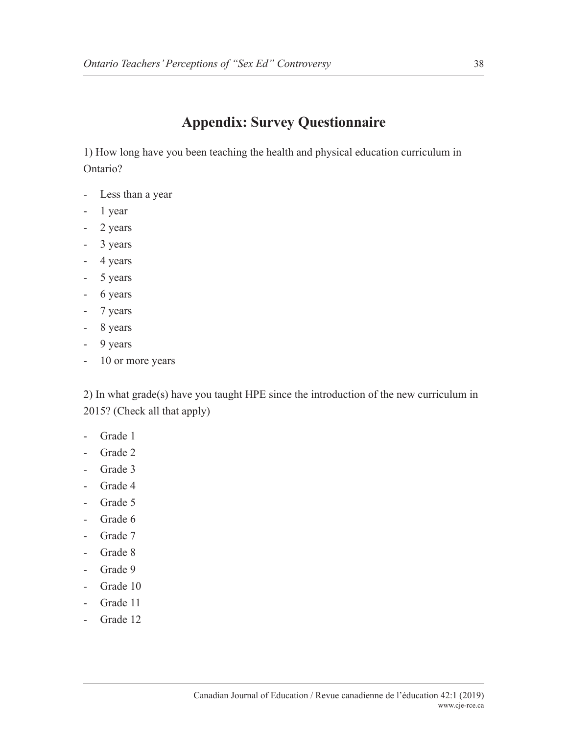## **Appendix: Survey Questionnaire**

1) How long have you been teaching the health and physical education curriculum in Ontario?

- Less than a year
- 1 year
- 2 years
- 3 years
- 4 years
- 5 years
- 6 years
- 7 years
- 8 years
- 9 years
- 10 or more years

2) In what grade(s) have you taught HPE since the introduction of the new curriculum in 2015? (Check all that apply)

- Grade 1
- Grade 2
- Grade 3
- Grade 4
- Grade 5
- Grade 6
- Grade 7
- Grade 8
- Grade 9
- Grade 10
- Grade 11
- Grade 12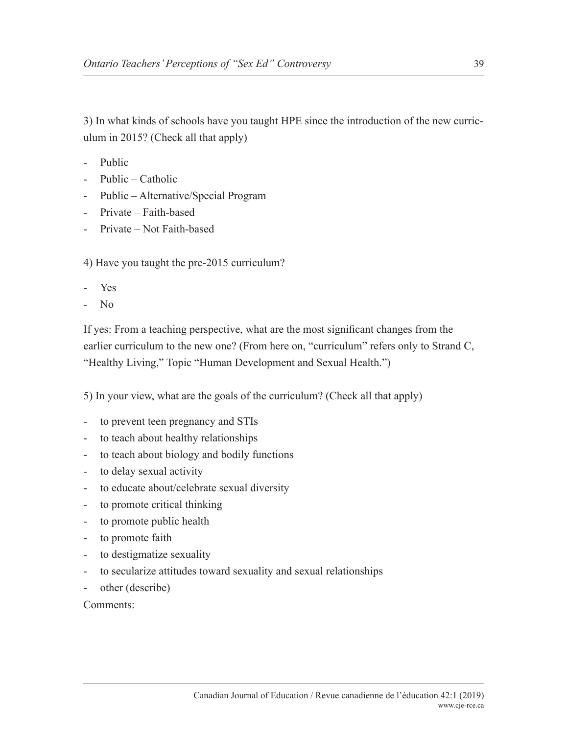3) In what kinds of schools have you taught HPE since the introduction of the new curriculum in 2015? (Check all that apply)

- Public
- Public Catholic
- Public Alternative/Special Program
- Private Faith-based
- Private Not Faith-based

4) Have you taught the pre-2015 curriculum?

- Yes
- No

If yes: From a teaching perspective, what are the most significant changes from the earlier curriculum to the new one? (From here on, "curriculum" refers only to Strand C, "Healthy Living," Topic "Human Development and Sexual Health.")

5) In your view, what are the goals of the curriculum? (Check all that apply)

- to prevent teen pregnancy and STIs
- to teach about healthy relationships
- to teach about biology and bodily functions
- to delay sexual activity
- to educate about/celebrate sexual diversity
- to promote critical thinking
- to promote public health
- to promote faith
- to destigmatize sexuality
- to secularize attitudes toward sexuality and sexual relationships
- other (describe)

Comments: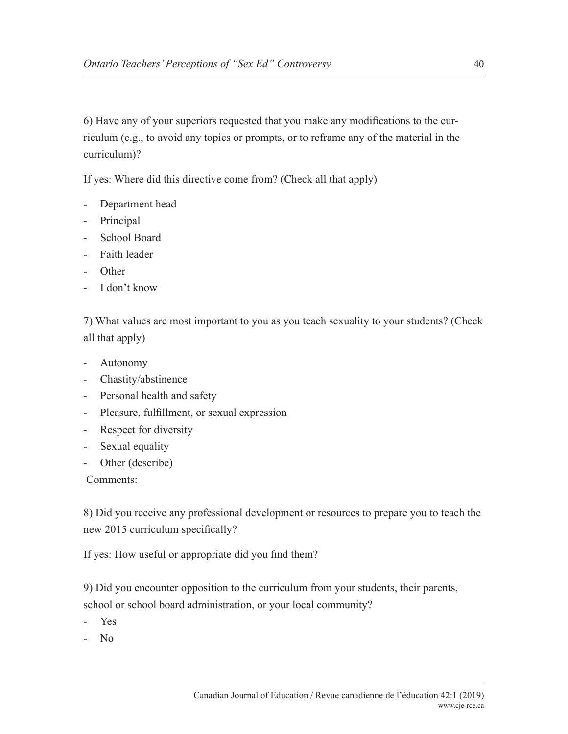6) Have any of your superiors requested that you make any modifications to the curriculum (e.g., to avoid any topics or prompts, or to reframe any of the material in the curriculum)?

If yes: Where did this directive come from? (Check all that apply)

- Department head
- Principal
- School Board
- Faith leader
- Other
- I don't know

7) What values are most important to you as you teach sexuality to your students? (Check all that apply)

- Autonomy
- Chastity/abstinence
- Personal health and safety
- Pleasure, fulfillment, or sexual expression
- Respect for diversity
- Sexual equality
- Other (describe)

Comments:

8) Did you receive any professional development or resources to prepare you to teach the new 2015 curriculum specifically?

If yes: How useful or appropriate did you find them?

9) Did you encounter opposition to the curriculum from your students, their parents, school or school board administration, or your local community?

- Yes
- No